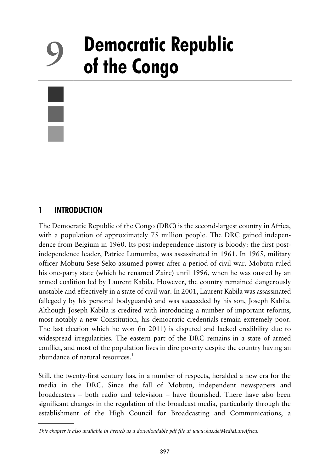# **Democratic Republic 9 of the Congo**

# **1 INTRODUCTION**

The Democratic Republic of the Congo (DRC) is the second-largest country in Africa, with a population of approximately 75 million people. The DRC gained independence from Belgium in 1960. Its post-independence history is bloody: the first postindependence leader, Patrice Lumumba, was assassinated in 1961. In 1965, military officer Mobutu Sese Seko assumed power after a period of civil war. Mobutu ruled his one-party state (which he renamed Zaire) until 1996, when he was ousted by an armed coalition led by Laurent Kabila. However, the country remained dangerously unstable and effectively in a state of civil war. In 2001, Laurent Kabila was assassinated (allegedly by his personal bodyguards) and was succeeded by his son, Joseph Kabila. Although Joseph Kabila is credited with introducing a number of important reforms, most notably a new Constitution, his democratic credentials remain extremely poor. The last election which he won (in 2011) is disputed and lacked credibility due to widespread irregularities. The eastern part of the DRC remains in a state of armed conflict, and most of the population lives in dire poverty despite the country having an abundance of natural resources.<sup>1</sup>

Still, the twenty-first century has, in a number of respects, heralded a new era for the media in the DRC. Since the fall of Mobutu, independent newspapers and broadcasters – both radio and television – have flourished. There have also been significant changes in the regulation of the broadcast media, particularly through the establishment of the High Council for Broadcasting and Communications, a

*This chapter is also available in French as a downloadable pdf file at www.kas.de/MediaLawAfrica.*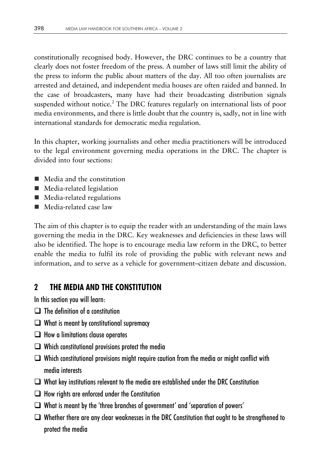constitutionally recognised body. However, the DRC continues to be a country that clearly does not foster freedom of the press. A number of laws still limit the ability of the press to inform the public about matters of the day. All too often journalists are arrested and detained, and independent media houses are often raided and banned. In the case of broadcasters, many have had their broadcasting distribution signals suspended without notice.<sup>2</sup> The DRC features regularly on international lists of poor media environments, and there is little doubt that the country is, sadly, not in line with international standards for democratic media regulation.

In this chapter, working journalists and other media practitioners will be introduced to the legal environment governing media operations in the DRC. The chapter is divided into four sections:

- Media and the constitution
- **Media-related legislation**
- Media-related regulations
- Media-related case law

The aim of this chapter is to equip the reader with an understanding of the main laws governing the media in the DRC. Key weaknesses and deficiencies in these laws will also be identified. The hope is to encourage media law reform in the DRC, to better enable the media to fulfil its role of providing the public with relevant news and information, and to serve as a vehicle for government–citizen debate and discussion.

# **2 THE MEDIA AND THE CONSTITUTION**

In this section you will learn:

- $\Box$  The definition of a constitution
- $\Box$  What is meant by constitutional supremacy
- $\Box$  How a limitations clause operates
- $\Box$  Which constitutional provisions protect the media
- $\Box$  Which constitutional provisions might require caution from the media or might conflict with media interests
- $\Box$  What key institutions relevant to the media are established under the DRC Constitution
- $\Box$  How rights are enforced under the Constitution
- $\Box$  What is meant by the 'three branches of government' and 'separation of powers'
- $\Box$  Whether there are any clear weaknesses in the DRC Constitution that ought to be strengthened to protect the media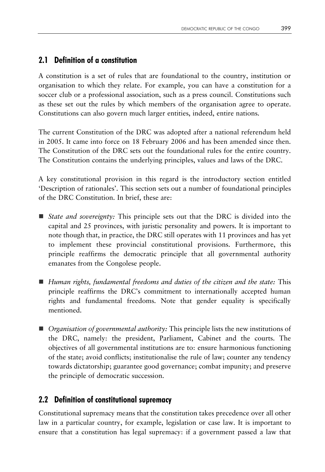## **2.1 Definition of a constitution**

A constitution is a set of rules that are foundational to the country, institution or organisation to which they relate. For example, you can have a constitution for a soccer club or a professional association, such as a press council. Constitutions such as these set out the rules by which members of the organisation agree to operate. Constitutions can also govern much larger entities, indeed, entire nations.

The current Constitution of the DRC was adopted after a national referendum held in 2005. It came into force on 18 February 2006 and has been amended since then. The Constitution of the DRC sets out the foundational rules for the entire country. The Constitution contains the underlying principles, values and laws of the DRC.

A key constitutional provision in this regard is the introductory section entitled 'Description of rationales'. This section sets out a number of foundational principles of the DRC Constitution. In brief, these are:

- *State and sovereignty:* This principle sets out that the DRC is divided into the capital and 25 provinces, with juristic personality and powers. It is important to note though that, in practice, the DRC still operates with 11 provinces and has yet to implement these provincial constitutional provisions. Furthermore, this principle reaffirms the democratic principle that all governmental authority emanates from the Congolese people.
- *Human rights, fundamental freedoms and duties of the citizen and the state:* This principle reaffirms the DRC's commitment to internationally accepted human rights and fundamental freedoms. Note that gender equality is specifically mentioned.
- *Organisation of governmental authority:* This principle lists the new institutions of the DRC, namely: the president, Parliament, Cabinet and the courts. The objectives of all governmental institutions are to: ensure harmonious functioning of the state; avoid conflicts; institutionalise the rule of law; counter any tendency towards dictatorship; guarantee good governance; combat impunity; and preserve the principle of democratic succession.

## **2.2 Definition of constitutional supremacy**

Constitutional supremacy means that the constitution takes precedence over all other law in a particular country, for example, legislation or case law. It is important to ensure that a constitution has legal supremacy: if a government passed a law that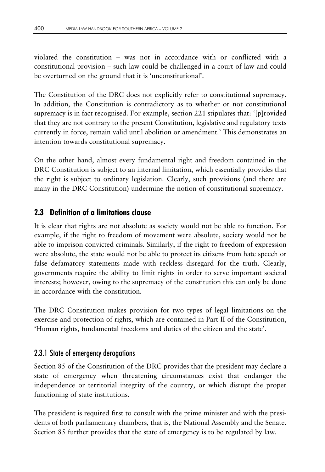violated the constitution – was not in accordance with or conflicted with a constitutional provision – such law could be challenged in a court of law and could be overturned on the ground that it is 'unconstitutional'.

The Constitution of the DRC does not explicitly refer to constitutional supremacy. In addition, the Constitution is contradictory as to whether or not constitutional supremacy is in fact recognised. For example, section 221 stipulates that: '[p]rovided that they are not contrary to the present Constitution, legislative and regulatory texts currently in force, remain valid until abolition or amendment.' This demonstrates an intention towards constitutional supremacy.

On the other hand, almost every fundamental right and freedom contained in the DRC Constitution is subject to an internal limitation, which essentially provides that the right is subject to ordinary legislation. Clearly, such provisions (and there are many in the DRC Constitution) undermine the notion of constitutional supremacy.

#### **2.3 Definition of a limitations clause**

It is clear that rights are not absolute as society would not be able to function. For example, if the right to freedom of movement were absolute, society would not be able to imprison convicted criminals. Similarly, if the right to freedom of expression were absolute, the state would not be able to protect its citizens from hate speech or false defamatory statements made with reckless disregard for the truth. Clearly, governments require the ability to limit rights in order to serve important societal interests; however, owing to the supremacy of the constitution this can only be done in accordance with the constitution.

The DRC Constitution makes provision for two types of legal limitations on the exercise and protection of rights, which are contained in Part II of the Constitution, 'Human rights, fundamental freedoms and duties of the citizen and the state'.

#### 2.3.1 State of emergency derogations

Section 85 of the Constitution of the DRC provides that the president may declare a state of emergency when threatening circumstances exist that endanger the independence or territorial integrity of the country, or which disrupt the proper functioning of state institutions.

The president is required first to consult with the prime minister and with the presidents of both parliamentary chambers, that is, the National Assembly and the Senate. Section 85 further provides that the state of emergency is to be regulated by law.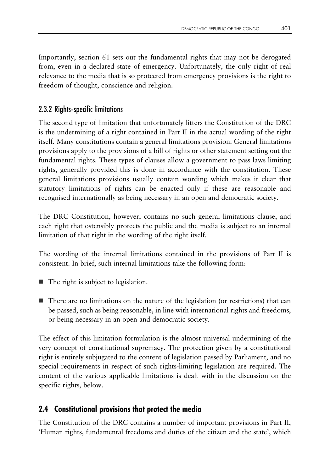Importantly, section 61 sets out the fundamental rights that may not be derogated from, even in a declared state of emergency. Unfortunately, the only right of real relevance to the media that is so protected from emergency provisions is the right to freedom of thought, conscience and religion.

## 2.3.2 Rights-specific limitations

The second type of limitation that unfortunately litters the Constitution of the DRC is the undermining of a right contained in Part II in the actual wording of the right itself. Many constitutions contain a general limitations provision. General limitations provisions apply to the provisions of a bill of rights or other statement setting out the fundamental rights. These types of clauses allow a government to pass laws limiting rights, generally provided this is done in accordance with the constitution. These general limitations provisions usually contain wording which makes it clear that statutory limitations of rights can be enacted only if these are reasonable and recognised internationally as being necessary in an open and democratic society.

The DRC Constitution, however, contains no such general limitations clause, and each right that ostensibly protects the public and the media is subject to an internal limitation of that right in the wording of the right itself.

The wording of the internal limitations contained in the provisions of Part II is consistent. In brief, such internal limitations take the following form:

- The right is subject to legislation.
- There are no limitations on the nature of the legislation (or restrictions) that can be passed, such as being reasonable, in line with international rights and freedoms, or being necessary in an open and democratic society.

The effect of this limitation formulation is the almost universal undermining of the very concept of constitutional supremacy. The protection given by a constitutional right is entirely subjugated to the content of legislation passed by Parliament, and no special requirements in respect of such rights-limiting legislation are required. The content of the various applicable limitations is dealt with in the discussion on the specific rights, below.

# **2.4 Constitutional provisions that protect the media**

The Constitution of the DRC contains a number of important provisions in Part II, 'Human rights, fundamental freedoms and duties of the citizen and the state', which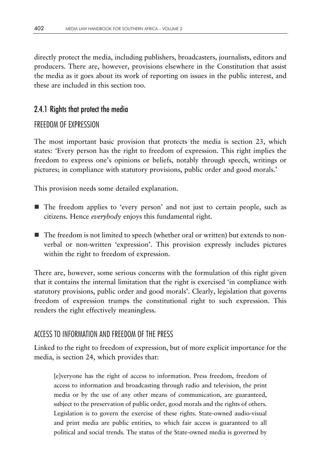directly protect the media, including publishers, broadcasters, journalists, editors and producers. There are, however, provisions elsewhere in the Constitution that assist the media as it goes about its work of reporting on issues in the public interest, and these are included in this section too.

## 2.4.1 Rights that protect the media

## FREEDOM OF EXPRESSION

The most important basic provision that protects the media is section 23, which states: 'Every person has the right to freedom of expression. This right implies the freedom to express one's opinions or beliefs, notably through speech, writings or pictures; in compliance with statutory provisions, public order and good morals.'

This provision needs some detailed explanation.

- The freedom applies to 'every person' and not just to certain people, such as citizens. Hence *everybody* enjoys this fundamental right.
- The freedom is not limited to speech (whether oral or written) but extends to nonverbal or non-written 'expression'. This provision expressly includes pictures within the right to freedom of expression.

There are, however, some serious concerns with the formulation of this right given that it contains the internal limitation that the right is exercised 'in compliance with statutory provisions, public order and good morals'. Clearly, legislation that governs freedom of expression trumps the constitutional right to such expression. This renders the right effectively meaningless.

## ACCESS TO INFORMATION AND FREEDOM OF THE PRESS

Linked to the right to freedom of expression, but of more explicit importance for the media, is section 24, which provides that:

[e]veryone has the right of access to information. Press freedom, freedom of access to information and broadcasting through radio and television, the print media or by the use of any other means of communication, are guaranteed, subject to the preservation of public order, good morals and the rights of others. Legislation is to govern the exercise of these rights. State-owned audio-visual and print media are public entities, to which fair access is guaranteed to all political and social trends. The status of the State-owned media is governed by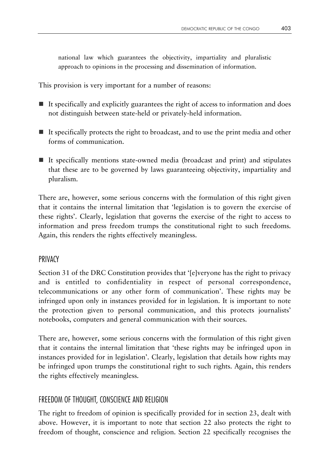national law which guarantees the objectivity, impartiality and pluralistic approach to opinions in the processing and dissemination of information.

This provision is very important for a number of reasons:

- $\blacksquare$  It specifically and explicitly guarantees the right of access to information and does not distinguish between state-held or privately-held information.
- $\blacksquare$  It specifically protects the right to broadcast, and to use the print media and other forms of communication.
- $\blacksquare$  It specifically mentions state-owned media (broadcast and print) and stipulates that these are to be governed by laws guaranteeing objectivity, impartiality and pluralism.

There are, however, some serious concerns with the formulation of this right given that it contains the internal limitation that 'legislation is to govern the exercise of these rights'. Clearly, legislation that governs the exercise of the right to access to information and press freedom trumps the constitutional right to such freedoms. Again, this renders the rights effectively meaningless.

#### **PRIVACY**

Section 31 of the DRC Constitution provides that '[e]veryone has the right to privacy and is entitled to confidentiality in respect of personal correspondence, telecommunications or any other form of communication'. These rights may be infringed upon only in instances provided for in legislation. It is important to note the protection given to personal communication, and this protects journalists' notebooks, computers and general communication with their sources.

There are, however, some serious concerns with the formulation of this right given that it contains the internal limitation that 'these rights may be infringed upon in instances provided for in legislation'. Clearly, legislation that details how rights may be infringed upon trumps the constitutional right to such rights. Again, this renders the rights effectively meaningless.

#### FREEDOM OF THOUGHT, CONSCIENCE AND RELIGION

The right to freedom of opinion is specifically provided for in section 23, dealt with above. However, it is important to note that section 22 also protects the right to freedom of thought, conscience and religion. Section 22 specifically recognises the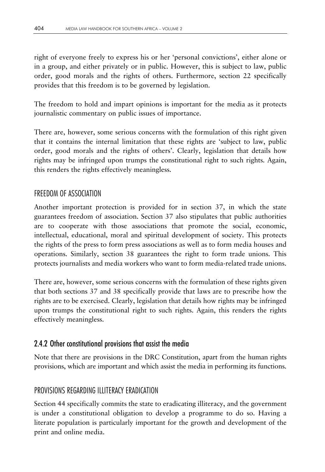right of everyone freely to express his or her 'personal convictions', either alone or in a group, and either privately or in public. However, this is subject to law, public order, good morals and the rights of others. Furthermore, section 22 specifically provides that this freedom is to be governed by legislation.

The freedom to hold and impart opinions is important for the media as it protects journalistic commentary on public issues of importance.

There are, however, some serious concerns with the formulation of this right given that it contains the internal limitation that these rights are 'subject to law, public order, good morals and the rights of others'. Clearly, legislation that details how rights may be infringed upon trumps the constitutional right to such rights. Again, this renders the rights effectively meaningless.

## FREEDOM OF ASSOCIATION

Another important protection is provided for in section 37, in which the state guarantees freedom of association. Section 37 also stipulates that public authorities are to cooperate with those associations that promote the social, economic, intellectual, educational, moral and spiritual development of society. This protects the rights of the press to form press associations as well as to form media houses and operations. Similarly, section 38 guarantees the right to form trade unions. This protects journalists and media workers who want to form media-related trade unions.

There are, however, some serious concerns with the formulation of these rights given that both sections 37 and 38 specifically provide that laws are to prescribe how the rights are to be exercised. Clearly, legislation that details how rights may be infringed upon trumps the constitutional right to such rights. Again, this renders the rights effectively meaningless.

#### 2.4.2 Other constitutional provisions that assist the media

Note that there are provisions in the DRC Constitution, apart from the human rights provisions, which are important and which assist the media in performing its functions.

## PROVISIONS REGARDING ILLITERACY ERADICATION

Section 44 specifically commits the state to eradicating illiteracy, and the government is under a constitutional obligation to develop a programme to do so. Having a literate population is particularly important for the growth and development of the print and online media.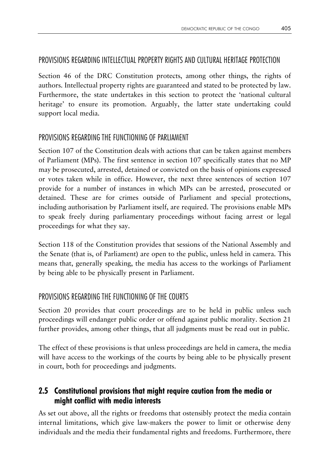#### PROVISIONS REGARDING INTELLECTUAL PROPERTY RIGHTS AND CULTURAL HERITAGE PROTECTION

Section 46 of the DRC Constitution protects, among other things, the rights of authors. Intellectual property rights are guaranteed and stated to be protected by law. Furthermore, the state undertakes in this section to protect the 'national cultural heritage' to ensure its promotion. Arguably, the latter state undertaking could support local media.

## PROVISIONS REGARDING THE FUNCTIONING OF PARLIAMENT

Section 107 of the Constitution deals with actions that can be taken against members of Parliament (MPs). The first sentence in section 107 specifically states that no MP may be prosecuted, arrested, detained or convicted on the basis of opinions expressed or votes taken while in office. However, the next three sentences of section 107 provide for a number of instances in which MPs can be arrested, prosecuted or detained. These are for crimes outside of Parliament and special protections, including authorisation by Parliament itself, are required. The provisions enable MPs to speak freely during parliamentary proceedings without facing arrest or legal proceedings for what they say.

Section 118 of the Constitution provides that sessions of the National Assembly and the Senate (that is, of Parliament) are open to the public, unless held in camera. This means that, generally speaking, the media has access to the workings of Parliament by being able to be physically present in Parliament.

## PROVISIONS REGARDING THE FUNCTIONING OF THE COURTS

Section 20 provides that court proceedings are to be held in public unless such proceedings will endanger public order or offend against public morality. Section 21 further provides, among other things, that all judgments must be read out in public.

The effect of these provisions is that unless proceedings are held in camera, the media will have access to the workings of the courts by being able to be physically present in court, both for proceedings and judgments.

## **2.5 Constitutional provisions that might require caution from the media or might conflict with media interests**

As set out above, all the rights or freedoms that ostensibly protect the media contain internal limitations, which give law-makers the power to limit or otherwise deny individuals and the media their fundamental rights and freedoms. Furthermore, there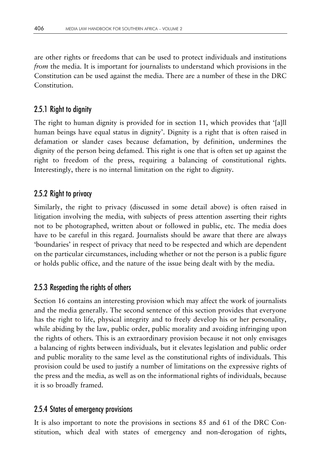are other rights or freedoms that can be used to protect individuals and institutions *from* the media. It is important for journalists to understand which provisions in the Constitution can be used against the media. There are a number of these in the DRC Constitution.

## 2.5.1 Right to dignity

The right to human dignity is provided for in section 11, which provides that '[a]ll human beings have equal status in dignity'. Dignity is a right that is often raised in defamation or slander cases because defamation, by definition, undermines the dignity of the person being defamed. This right is one that is often set up against the right to freedom of the press, requiring a balancing of constitutional rights. Interestingly, there is no internal limitation on the right to dignity.

## 2.5.2 Right to privacy

Similarly, the right to privacy (discussed in some detail above) is often raised in litigation involving the media, with subjects of press attention asserting their rights not to be photographed, written about or followed in public, etc. The media does have to be careful in this regard. Journalists should be aware that there are always 'boundaries' in respect of privacy that need to be respected and which are dependent on the particular circumstances, including whether or not the person is a public figure or holds public office, and the nature of the issue being dealt with by the media.

## 2.5.3 Respecting the rights of others

Section 16 contains an interesting provision which may affect the work of journalists and the media generally. The second sentence of this section provides that everyone has the right to life, physical integrity and to freely develop his or her personality, while abiding by the law, public order, public morality and avoiding infringing upon the rights of others. This is an extraordinary provision because it not only envisages a balancing of rights between individuals, but it elevates legislation and public order and public morality to the same level as the constitutional rights of individuals. This provision could be used to justify a number of limitations on the expressive rights of the press and the media, as well as on the informational rights of individuals, because it is so broadly framed.

#### 2.5.4 States of emergency provisions

It is also important to note the provisions in sections 85 and 61 of the DRC Constitution, which deal with states of emergency and non-derogation of rights,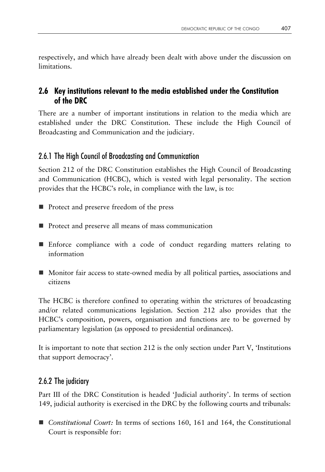respectively, and which have already been dealt with above under the discussion on limitations.

## **2.6 Key institutions relevant to the media established under the Constitution of the DRC**

There are a number of important institutions in relation to the media which are established under the DRC Constitution. These include the High Council of Broadcasting and Communication and the judiciary.

## 2.6.1 The High Council of Broadcasting and Communication

Section 212 of the DRC Constitution establishes the High Council of Broadcasting and Communication (HCBC), which is vested with legal personality. The section provides that the HCBC's role, in compliance with the law, is to:

- Protect and preserve freedom of the press
- **Protect and preserve all means of mass communication**
- Enforce compliance with a code of conduct regarding matters relating to information
- Monitor fair access to state-owned media by all political parties, associations and citizens

The HCBC is therefore confined to operating within the strictures of broadcasting and/or related communications legislation. Section 212 also provides that the HCBC's composition, powers, organisation and functions are to be governed by parliamentary legislation (as opposed to presidential ordinances).

It is important to note that section 212 is the only section under Part V, 'Institutions that support democracy'.

# 2.6.2 The judiciary

Part III of the DRC Constitution is headed 'Judicial authority'. In terms of section 149, judicial authority is exercised in the DRC by the following courts and tribunals:

■ *Constitutional Court:* In terms of sections 160, 161 and 164, the Constitutional Court is responsible for: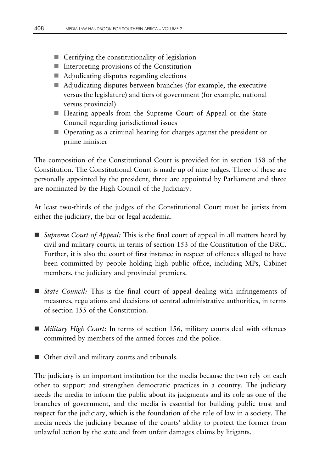- Certifying the constitutionality of legislation
- $\blacksquare$  Interpreting provisions of the Constitution
- Adjudicating disputes regarding elections
- Adjudicating disputes between branches (for example, the executive versus the legislature) and tiers of government (for example, national versus provincial)
- Hearing appeals from the Supreme Court of Appeal or the State Council regarding jurisdictional issues
- Operating as a criminal hearing for charges against the president or prime minister

The composition of the Constitutional Court is provided for in section 158 of the Constitution. The Constitutional Court is made up of nine judges. Three of these are personally appointed by the president, three are appointed by Parliament and three are nominated by the High Council of the Judiciary.

At least two-thirds of the judges of the Constitutional Court must be jurists from either the judiciary, the bar or legal academia.

- *Supreme Court of Appeal:* This is the final court of appeal in all matters heard by civil and military courts, in terms of section 153 of the Constitution of the DRC. Further, it is also the court of first instance in respect of offences alleged to have been committed by people holding high public office, including MPs, Cabinet members, the judiciary and provincial premiers.
- *State Council:* This is the final court of appeal dealing with infringements of measures, regulations and decisions of central administrative authorities, in terms of section 155 of the Constitution.
- *Military High Court:* In terms of section 156, military courts deal with offences committed by members of the armed forces and the police.
- Other civil and military courts and tribunals.

The judiciary is an important institution for the media because the two rely on each other to support and strengthen democratic practices in a country. The judiciary needs the media to inform the public about its judgments and its role as one of the branches of government, and the media is essential for building public trust and respect for the judiciary, which is the foundation of the rule of law in a society. The media needs the judiciary because of the courts' ability to protect the former from unlawful action by the state and from unfair damages claims by litigants.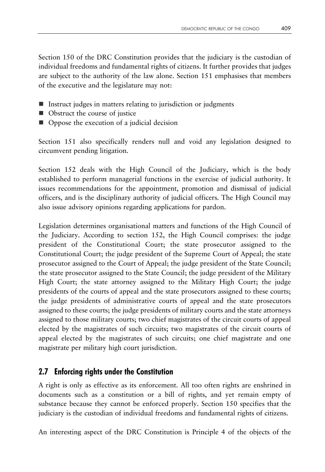Section 150 of the DRC Constitution provides that the judiciary is the custodian of individual freedoms and fundamental rights of citizens. It further provides that judges are subject to the authority of the law alone. Section 151 emphasises that members of the executive and the legislature may not:

- Instruct judges in matters relating to jurisdiction or judgments
- Obstruct the course of justice
- Oppose the execution of a judicial decision

Section 151 also specifically renders null and void any legislation designed to circumvent pending litigation.

Section 152 deals with the High Council of the Judiciary, which is the body established to perform managerial functions in the exercise of judicial authority. It issues recommendations for the appointment, promotion and dismissal of judicial officers, and is the disciplinary authority of judicial officers. The High Council may also issue advisory opinions regarding applications for pardon.

Legislation determines organisational matters and functions of the High Council of the Judiciary. According to section 152, the High Council comprises: the judge president of the Constitutional Court; the state prosecutor assigned to the Constitutional Court; the judge president of the Supreme Court of Appeal; the state prosecutor assigned to the Court of Appeal; the judge president of the State Council; the state prosecutor assigned to the State Council; the judge president of the Military High Court; the state attorney assigned to the Military High Court; the judge presidents of the courts of appeal and the state prosecutors assigned to these courts; the judge presidents of administrative courts of appeal and the state prosecutors assigned to these courts; the judge presidents of military courts and the state attorneys assigned to those military courts; two chief magistrates of the circuit courts of appeal elected by the magistrates of such circuits; two magistrates of the circuit courts of appeal elected by the magistrates of such circuits; one chief magistrate and one magistrate per military high court jurisdiction.

## **2.7 Enforcing rights under the Constitution**

A right is only as effective as its enforcement. All too often rights are enshrined in documents such as a constitution or a bill of rights, and yet remain empty of substance because they cannot be enforced properly. Section 150 specifies that the judiciary is the custodian of individual freedoms and fundamental rights of citizens.

An interesting aspect of the DRC Constitution is Principle 4 of the objects of the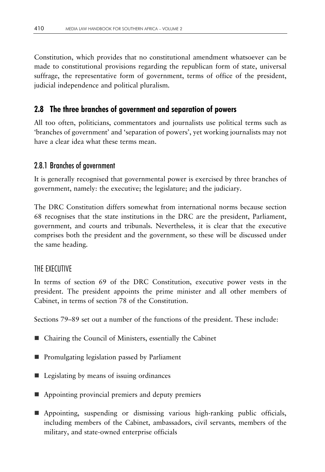Constitution, which provides that no constitutional amendment whatsoever can be made to constitutional provisions regarding the republican form of state, universal suffrage, the representative form of government, terms of office of the president, judicial independence and political pluralism.

#### **2.8 The three branches of government and separation of powers**

All too often, politicians, commentators and journalists use political terms such as 'branches of government' and 'separation of powers', yet working journalists may not have a clear idea what these terms mean.

#### 2.8.1 Branches of government

It is generally recognised that governmental power is exercised by three branches of government, namely: the executive; the legislature; and the judiciary.

The DRC Constitution differs somewhat from international norms because section 68 recognises that the state institutions in the DRC are the president, Parliament, government, and courts and tribunals. Nevertheless, it is clear that the executive comprises both the president and the government, so these will be discussed under the same heading.

#### THE EXECUTIVE

In terms of section 69 of the DRC Constitution, executive power vests in the president. The president appoints the prime minister and all other members of Cabinet, in terms of section 78 of the Constitution.

Sections 79–89 set out a number of the functions of the president. These include:

- Chairing the Council of Ministers, essentially the Cabinet
- **Promulgating legislation passed by Parliament**
- Legislating by means of issuing ordinances
- Appointing provincial premiers and deputy premiers
- Appointing, suspending or dismissing various high-ranking public officials, including members of the Cabinet, ambassadors, civil servants, members of the military, and state-owned enterprise officials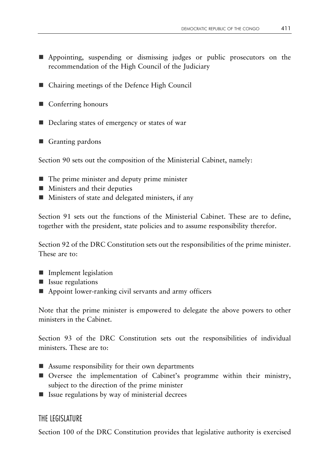- Appointing, suspending or dismissing judges or public prosecutors on the recommendation of the High Council of the Judiciary
- Chairing meetings of the Defence High Council
- Conferring honours
- Declaring states of emergency or states of war
- Granting pardons

Section 90 sets out the composition of the Ministerial Cabinet, namely:

- The prime minister and deputy prime minister
- **Ministers and their deputies**
- **Ministers of state and delegated ministers, if any**

Section 91 sets out the functions of the Ministerial Cabinet. These are to define, together with the president, state policies and to assume responsibility therefor.

Section 92 of the DRC Constitution sets out the responsibilities of the prime minister. These are to:

- **Implement legislation**
- **If** Issue regulations
- Appoint lower-ranking civil servants and army officers

Note that the prime minister is empowered to delegate the above powers to other ministers in the Cabinet.

Section 93 of the DRC Constitution sets out the responsibilities of individual ministers. These are to:

- Assume responsibility for their own departments
- Oversee the implementation of Cabinet's programme within their ministry, subject to the direction of the prime minister
- $\blacksquare$  Issue regulations by way of ministerial decrees

#### THE LEGISLATURE

Section 100 of the DRC Constitution provides that legislative authority is exercised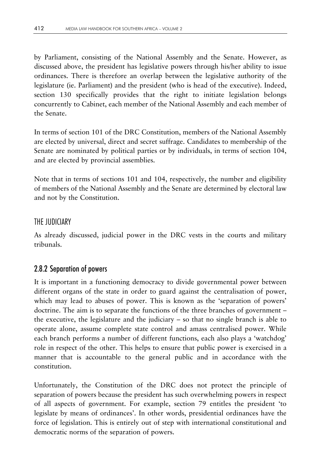by Parliament, consisting of the National Assembly and the Senate. However, as discussed above, the president has legislative powers through his/her ability to issue ordinances. There is therefore an overlap between the legislative authority of the legislature (ie. Parliament) and the president (who is head of the executive). Indeed, section 130 specifically provides that the right to initiate legislation belongs concurrently to Cabinet, each member of the National Assembly and each member of the Senate.

In terms of section 101 of the DRC Constitution, members of the National Assembly are elected by universal, direct and secret suffrage. Candidates to membership of the Senate are nominated by political parties or by individuals, in terms of section 104, and are elected by provincial assemblies.

Note that in terms of sections 101 and 104, respectively, the number and eligibility of members of the National Assembly and the Senate are determined by electoral law and not by the Constitution.

#### THE JUDICIARY

As already discussed, judicial power in the DRC vests in the courts and military tribunals.

#### 2.8.2 Separation of powers

It is important in a functioning democracy to divide governmental power between different organs of the state in order to guard against the centralisation of power, which may lead to abuses of power. This is known as the 'separation of powers' doctrine. The aim is to separate the functions of the three branches of government – the executive, the legislature and the judiciary – so that no single branch is able to operate alone, assume complete state control and amass centralised power. While each branch performs a number of different functions, each also plays a 'watchdog' role in respect of the other. This helps to ensure that public power is exercised in a manner that is accountable to the general public and in accordance with the constitution.

Unfortunately, the Constitution of the DRC does not protect the principle of separation of powers because the president has such overwhelming powers in respect of all aspects of government. For example, section 79 entitles the president 'to legislate by means of ordinances'. In other words, presidential ordinances have the force of legislation. This is entirely out of step with international constitutional and democratic norms of the separation of powers.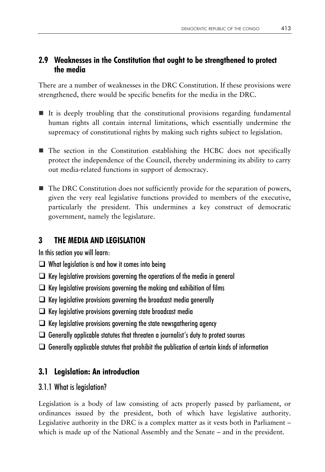## **2.9 Weaknesses in the Constitution that ought to be strengthened to protect the media**

There are a number of weaknesses in the DRC Constitution. If these provisions were strengthened, there would be specific benefits for the media in the DRC.

- It is deeply troubling that the constitutional provisions regarding fundamental human rights all contain internal limitations, which essentially undermine the supremacy of constitutional rights by making such rights subject to legislation.
- The section in the Constitution establishing the HCBC does not specifically protect the independence of the Council, thereby undermining its ability to carry out media-related functions in support of democracy.
- The DRC Constitution does not sufficiently provide for the separation of powers, given the very real legislative functions provided to members of the executive, particularly the president. This undermines a key construct of democratic government, namely the legislature.

# **3 THE MEDIA AND LEGISLATION**

In this section you will learn:

- $\Box$  What legislation is and how it comes into being
- $\Box$  Key legislative provisions governing the operations of the media in general
- $\Box$  Key legislative provisions governing the making and exhibition of films
- $\Box$  Key legislative provisions governing the broadcast media generally
- $\Box$  Key legislative provisions governing state broadcast media
- $\Box$  Key legislative provisions governing the state newsgathering agency
- $\Box$  Generally applicable statutes that threaten a journalist's duty to protect sources
- $\Box$  Generally applicable statutes that prohibit the publication of certain kinds of information

# **3.1 Legislation: An introduction**

#### 3.1.1 What is legislation?

Legislation is a body of law consisting of acts properly passed by parliament, or ordinances issued by the president, both of which have legislative authority. Legislative authority in the DRC is a complex matter as it vests both in Parliament – which is made up of the National Assembly and the Senate – and in the president.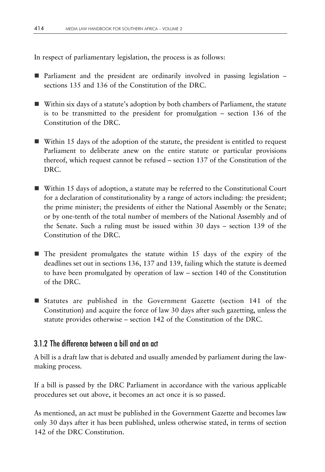In respect of parliamentary legislation, the process is as follows:

- **Parliament and the president are ordinarily involved in passing legislation** sections 135 and 136 of the Constitution of the DRC.
- Within six days of a statute's adoption by both chambers of Parliament, the statute is to be transmitted to the president for promulgation – section 136 of the Constitution of the DRC.
- Within 15 days of the adoption of the statute, the president is entitled to request Parliament to deliberate anew on the entire statute or particular provisions thereof, which request cannot be refused – section 137 of the Constitution of the DRC.
- Within 15 days of adoption, a statute may be referred to the Constitutional Court for a declaration of constitutionality by a range of actors including: the president; the prime minister; the presidents of either the National Assembly or the Senate; or by one-tenth of the total number of members of the National Assembly and of the Senate. Such a ruling must be issued within 30 days – section 139 of the Constitution of the DRC.
- $\blacksquare$  The president promulgates the statute within 15 days of the expiry of the deadlines set out in sections 136, 137 and 139, failing which the statute is deemed to have been promulgated by operation of law – section 140 of the Constitution of the DRC.
- **E** Statutes are published in the Government Gazette (section 141 of the Constitution) and acquire the force of law 30 days after such gazetting, unless the statute provides otherwise – section 142 of the Constitution of the DRC.

#### 3.1.2 The difference between a bill and an act

A bill is a draft law that is debated and usually amended by parliament during the lawmaking process.

If a bill is passed by the DRC Parliament in accordance with the various applicable procedures set out above, it becomes an act once it is so passed.

As mentioned, an act must be published in the Government Gazette and becomes law only 30 days after it has been published, unless otherwise stated, in terms of section 142 of the DRC Constitution.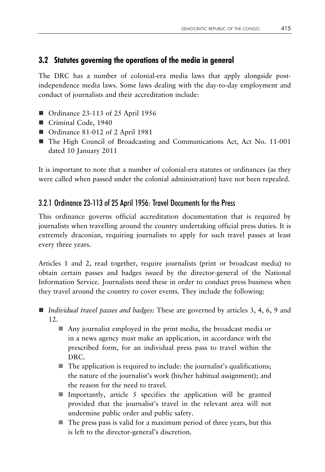## **3.2 Statutes governing the operations of the media in general**

The DRC has a number of colonial-era media laws that apply alongside postindependence media laws. Some laws dealing with the day-to-day employment and conduct of journalists and their accreditation include:

- Ordinance 23-113 of 25 April 1956
- Criminal Code, 1940
- Ordinance 81-012 of 2 April 1981
- The High Council of Broadcasting and Communications Act, Act No. 11-001 dated 10 January 2011

It is important to note that a number of colonial-era statutes or ordinances (as they were called when passed under the colonial administration) have not been repealed.

## 3.2.1 Ordinance 23-113 of 25 April 1956: Travel Documents for the Press

This ordinance governs official accreditation documentation that is required by journalists when travelling around the country undertaking official press duties. It is extremely draconian, requiring journalists to apply for such travel passes at least every three years.

Articles 1 and 2, read together, require journalists (print or broadcast media) to obtain certain passes and badges issued by the director-general of the National Information Service. Journalists need these in order to conduct press business when they travel around the country to cover events. They include the following:

- *Individual travel passes and badges:* These are governed by articles 3, 4, 6, 9 and 12.
	- Any journalist employed in the print media, the broadcast media or in a news agency must make an application, in accordance with the prescribed form, for an individual press pass to travel within the DRC.
	- The application is required to include: the journalist's qualifications; the nature of the journalist's work (his/her habitual assignment); and the reason for the need to travel.
	- **I** Importantly, article 5 specifies the application will be granted provided that the journalist's travel in the relevant area will not undermine public order and public safety.
	- $\blacksquare$  The press pass is valid for a maximum period of three years, but this is left to the director-general's discretion.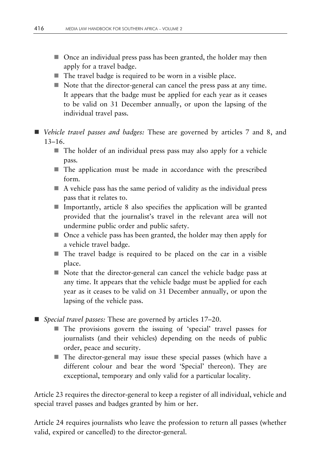- Once an individual press pass has been granted, the holder may then apply for a travel badge.
- The travel badge is required to be worn in a visible place.
- Note that the director-general can cancel the press pass at any time. It appears that the badge must be applied for each year as it ceases to be valid on 31 December annually, or upon the lapsing of the individual travel pass.
- *Vehicle travel passes and badges:* These are governed by articles 7 and 8, and 13–16.
	- $\blacksquare$  The holder of an individual press pass may also apply for a vehicle pass.
	- The application must be made in accordance with the prescribed form.
	- $\blacksquare$  A vehicle pass has the same period of validity as the individual press pass that it relates to.
	- Importantly, article 8 also specifies the application will be granted provided that the journalist's travel in the relevant area will not undermine public order and public safety.
	- Once a vehicle pass has been granted, the holder may then apply for a vehicle travel badge.
	- The travel badge is required to be placed on the car in a visible place.
	- Note that the director-general can cancel the vehicle badge pass at any time. It appears that the vehicle badge must be applied for each year as it ceases to be valid on 31 December annually, or upon the lapsing of the vehicle pass.
- *Special travel passes:* These are governed by articles 17–20.
	- The provisions govern the issuing of 'special' travel passes for journalists (and their vehicles) depending on the needs of public order, peace and security.
	- The director-general may issue these special passes (which have a different colour and bear the word 'Special' thereon). They are exceptional, temporary and only valid for a particular locality.

Article 23 requires the director-general to keep a register of all individual, vehicle and special travel passes and badges granted by him or her.

Article 24 requires journalists who leave the profession to return all passes (whether valid, expired or cancelled) to the director-general.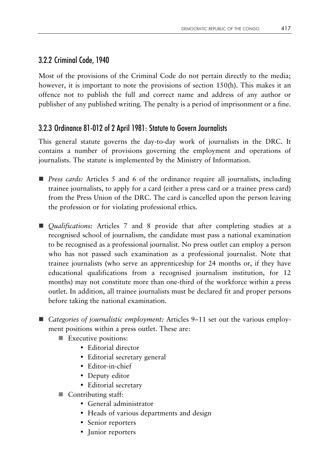#### 3.2.2 Criminal Code, 1940

Most of the provisions of the Criminal Code do not pertain directly to the media; however, it is important to note the provisions of section 150(h). This makes it an offence not to publish the full and correct name and address of any author or publisher of any published writing. The penalty is a period of imprisonment or a fine.

## 3.2.3 Ordinance 81-012 of 2 April 1981: Statute to Govern Journalists

This general statute governs the day-to-day work of journalists in the DRC. It contains a number of provisions governing the employment and operations of journalists. The statute is implemented by the Ministry of Information.

- *Press cards:* Articles 5 and 6 of the ordinance require all journalists, including trainee journalists, to apply for a card (either a press card or a trainee press card) from the Press Union of the DRC. The card is cancelled upon the person leaving the profession or for violating professional ethics.
- *Qualifications:* Articles 7 and 8 provide that after completing studies at a recognised school of journalism, the candidate must pass a national examination to be recognised as a professional journalist. No press outlet can employ a person who has not passed such examination as a professional journalist. Note that trainee journalists (who serve an apprenticeship for 24 months or, if they have educational qualifications from a recognised journalism institution, for 12 months) may not constitute more than one-third of the workforce within a press outlet. In addition, all trainee journalists must be declared fit and proper persons before taking the national examination.
- *Categories of journalistic employment:* Articles 9–11 set out the various employment positions within a press outlet. These are:
	- **Executive positions:** 
		- Editorial director
		- Editorial secretary general
		- Editor-in-chief
		- Deputy editor
		- Editorial secretary
	- Contributing staff:
		- General administrator
		- Heads of various departments and design
		- Senior reporters
		- Junior reporters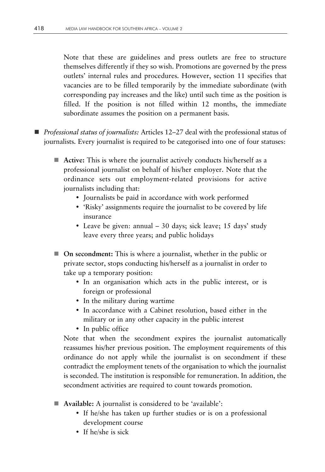Note that these are guidelines and press outlets are free to structure themselves differently if they so wish. Promotions are governed by the press outlets' internal rules and procedures. However, section 11 specifies that vacancies are to be filled temporarily by the immediate subordinate (with corresponding pay increases and the like) until such time as the position is filled. If the position is not filled within 12 months, the immediate subordinate assumes the position on a permanent basis.

- *Professional status of journalists:* Articles 12–27 deal with the professional status of journalists. Every journalist is required to be categorised into one of four statuses:
	- **Active:** This is where the journalist actively conducts his/herself as a professional journalist on behalf of his/her employer. Note that the ordinance sets out employment-related provisions for active journalists including that:
		- Journalists be paid in accordance with work performed
		- 'Risky' assignments require the journalist to be covered by life insurance
		- Leave be given: annual 30 days; sick leave; 15 days' study leave every three years; and public holidays
	- **On secondment:** This is where a journalist, whether in the public or private sector, stops conducting his/herself as a journalist in order to take up a temporary position:
		- In an organisation which acts in the public interest, or is foreign or professional
		- In the military during wartime
		- In accordance with a Cabinet resolution, based either in the military or in any other capacity in the public interest
		- In public office

Note that when the secondment expires the journalist automatically reassumes his/her previous position. The employment requirements of this ordinance do not apply while the journalist is on secondment if these contradict the employment tenets of the organisation to which the journalist is seconded. The institution is responsible for remuneration. In addition, the secondment activities are required to count towards promotion.

- **Available:** A journalist is considered to be 'available':
	- If he/she has taken up further studies or is on a professional development course
	- If he/she is sick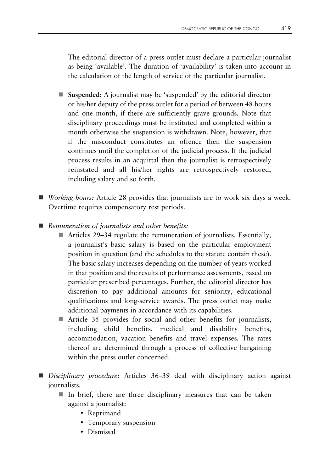The editorial director of a press outlet must declare a particular journalist as being 'available'. The duration of 'availability' is taken into account in the calculation of the length of service of the particular journalist.

- **Suspended:** A journalist may be 'suspended' by the editorial director or his/her deputy of the press outlet for a period of between 48 hours and one month, if there are sufficiently grave grounds. Note that disciplinary proceedings must be instituted and completed within a month otherwise the suspension is withdrawn. Note, however, that if the misconduct constitutes an offence then the suspension continues until the completion of the judicial process. If the judicial process results in an acquittal then the journalist is retrospectively reinstated and all his/her rights are retrospectively restored, including salary and so forth.
- *Working hours:* Article 28 provides that journalists are to work six days a week. Overtime requires compensatory rest periods.
- *Remuneration of journalists and other benefits:*
	- Articles 29–34 regulate the remuneration of journalists. Essentially, a journalist's basic salary is based on the particular employment position in question (and the schedules to the statute contain these). The basic salary increases depending on the number of years worked in that position and the results of performance assessments, based on particular prescribed percentages. Further, the editorial director has discretion to pay additional amounts for seniority, educational qualifications and long-service awards. The press outlet may make additional payments in accordance with its capabilities.
	- Article 35 provides for social and other benefits for journalists, including child benefits, medical and disability benefits, accommodation, vacation benefits and travel expenses. The rates thereof are determined through a process of collective bargaining within the press outlet concerned.
- *Disciplinary procedure:* Articles 36–39 deal with disciplinary action against journalists.
	- $\blacksquare$  In brief, there are three disciplinary measures that can be taken against a journalist:
		- Reprimand
		- Temporary suspension
		- Dismissal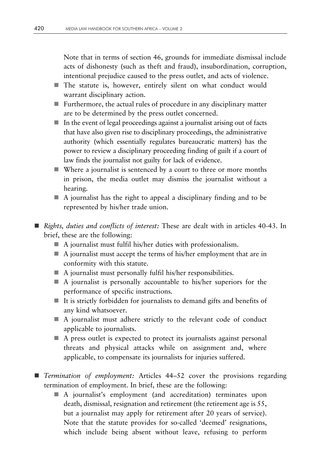Note that in terms of section 46, grounds for immediate dismissal include acts of dishonesty (such as theft and fraud), insubordination, corruption, intentional prejudice caused to the press outlet, and acts of violence.

- The statute is, however, entirely silent on what conduct would warrant disciplinary action.
- Furthermore, the actual rules of procedure in any disciplinary matter are to be determined by the press outlet concerned.
- $\blacksquare$  In the event of legal proceedings against a journalist arising out of facts that have also given rise to disciplinary proceedings, the administrative authority (which essentially regulates bureaucratic matters) has the power to review a disciplinary proceeding finding of guilt if a court of law finds the journalist not guilty for lack of evidence.
- Where a journalist is sentenced by a court to three or more months in prison, the media outlet may dismiss the journalist without a hearing.
- $\blacksquare$  A journalist has the right to appeal a disciplinary finding and to be represented by his/her trade union.
- *Rights, duties and conflicts of interest:* These are dealt with in articles 40-43. In brief, these are the following:
	- A journalist must fulfil his/her duties with professionalism.
	- $\blacksquare$  A journalist must accept the terms of his/her employment that are in conformity with this statute.
	- A journalist must personally fulfil his/her responsibilities.
	- $\blacksquare$  A journalist is personally accountable to his/her superiors for the performance of specific instructions.
	- $\blacksquare$  It is strictly forbidden for journalists to demand gifts and benefits of any kind whatsoever.
	- A journalist must adhere strictly to the relevant code of conduct applicable to journalists.
	- A press outlet is expected to protect its journalists against personal threats and physical attacks while on assignment and, where applicable, to compensate its journalists for injuries suffered.
- *Termination of employment:* Articles 44–52 cover the provisions regarding termination of employment. In brief, these are the following:
	- A journalist's employment (and accreditation) terminates upon death, dismissal, resignation and retirement (the retirement age is 55, but a journalist may apply for retirement after 20 years of service). Note that the statute provides for so-called 'deemed' resignations, which include being absent without leave, refusing to perform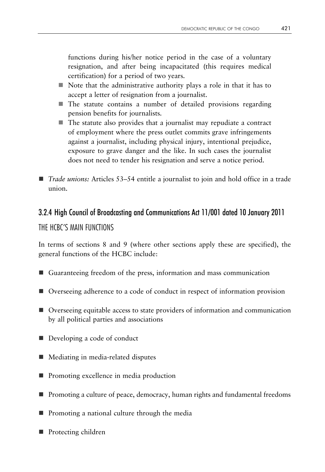functions during his/her notice period in the case of a voluntary resignation, and after being incapacitated (this requires medical certification) for a period of two years.

- $\blacksquare$  Note that the administrative authority plays a role in that it has to accept a letter of resignation from a journalist.
- The statute contains a number of detailed provisions regarding pension benefits for journalists.
- $\blacksquare$  The statute also provides that a journalist may repudiate a contract of employment where the press outlet commits grave infringements against a journalist, including physical injury, intentional prejudice, exposure to grave danger and the like. In such cases the journalist does not need to tender his resignation and serve a notice period.
- *Trade unions:* Articles 53–54 entitle a journalist to join and hold office in a trade union.

#### 3.2.4 High Council of Broadcasting and Communications Act 11/001 dated 10 January 2011

#### THE HCBC'S MAIN FUNCTIONS

In terms of sections 8 and 9 (where other sections apply these are specified), the general functions of the HCBC include:

- Guaranteeing freedom of the press, information and mass communication
- Overseeing adherence to a code of conduct in respect of information provision
- Overseeing equitable access to state providers of information and communication by all political parties and associations
- Developing a code of conduct
- Mediating in media-related disputes
- **Promoting excellence in media production**
- **Promoting a culture of peace, democracy, human rights and fundamental freedoms**
- Promoting a national culture through the media
- **Protecting children**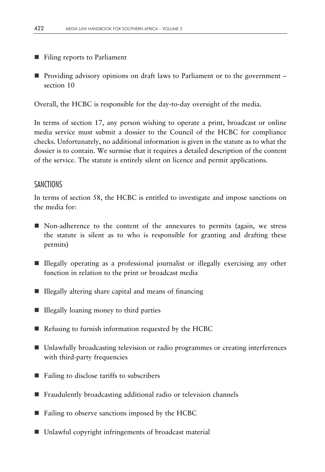- Filing reports to Parliament
- **Providing advisory opinions on draft laws to Parliament or to the government** section 10

Overall, the HCBC is responsible for the day-to-day oversight of the media.

In terms of section 17, any person wishing to operate a print, broadcast or online media service must submit a dossier to the Council of the HCBC for compliance checks. Unfortunately, no additional information is given in the statute as to what the dossier is to contain. We surmise that it requires a detailed description of the content of the service. The statute is entirely silent on licence and permit applications.

#### SANCTIONS

In terms of section 58, the HCBC is entitled to investigate and impose sanctions on the media for:

- Non-adherence to the content of the annexures to permits (again, we stress the statute is silent as to who is responsible for granting and drafting these permits)
- Illegally operating as a professional journalist or illegally exercising any other function in relation to the print or broadcast media
- $\blacksquare$  Illegally altering share capital and means of financing
- Illegally loaning money to third parties
- Refusing to furnish information requested by the HCBC
- Unlawfully broadcasting television or radio programmes or creating interferences with third-party frequencies
- Failing to disclose tariffs to subscribers
- Fraudulently broadcasting additional radio or television channels
- Failing to observe sanctions imposed by the HCBC
- Unlawful copyright infringements of broadcast material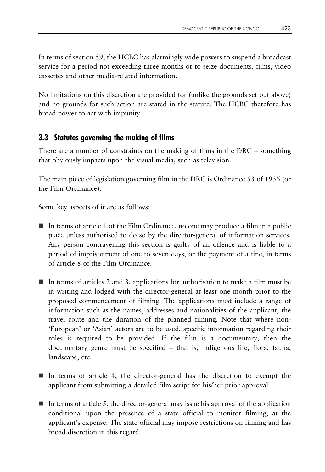In terms of section 59, the HCBC has alarmingly wide powers to suspend a broadcast service for a period not exceeding three months or to seize documents, films, video cassettes and other media-related information.

No limitations on this discretion are provided for (unlike the grounds set out above) and no grounds for such action are stated in the statute. The HCBC therefore has broad power to act with impunity.

## **3.3 Statutes governing the making of films**

There are a number of constraints on the making of films in the DRC – something that obviously impacts upon the visual media, such as television.

The main piece of legislation governing film in the DRC is Ordinance 53 of 1936 (or the Film Ordinance).

Some key aspects of it are as follows:

- In terms of article 1 of the Film Ordinance, no one may produce a film in a public place unless authorised to do so by the director-general of information services. Any person contravening this section is guilty of an offence and is liable to a period of imprisonment of one to seven days, or the payment of a fine, in terms of article 8 of the Film Ordinance.
- In terms of articles 2 and 3, applications for authorisation to make a film must be in writing and lodged with the director-general at least one month prior to the proposed commencement of filming. The applications must include a range of information such as the names, addresses and nationalities of the applicant, the travel route and the duration of the planned filming. Note that where non- 'European' or 'Asian' actors are to be used, specific information regarding their roles is required to be provided. If the film is a documentary, then the documentary genre must be specified – that is, indigenous life, flora, fauna, landscape, etc.
- In terms of article 4, the director-general has the discretion to exempt the applicant from submitting a detailed film script for his/her prior approval.
- $\blacksquare$  In terms of article 5, the director-general may issue his approval of the application conditional upon the presence of a state official to monitor filming, at the applicant's expense. The state official may impose restrictions on filming and has broad discretion in this regard.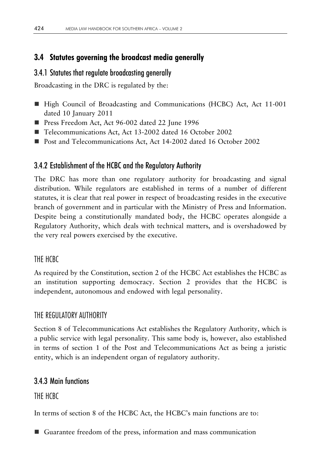# **3.4 Statutes governing the broadcast media generally**

## 3.4.1 Statutes that regulate broadcasting generally

Broadcasting in the DRC is regulated by the:

- High Council of Broadcasting and Communications (HCBC) Act, Act 11-001 dated 10 January 2011
- Press Freedom Act, Act 96-002 dated 22 June 1996
- Telecommunications Act, Act 13-2002 dated 16 October 2002
- **Post and Telecommunications Act, Act 14-2002 dated 16 October 2002**

## 3.4.2 Establishment of the HCBC and the Regulatory Authority

The DRC has more than one regulatory authority for broadcasting and signal distribution. While regulators are established in terms of a number of different statutes, it is clear that real power in respect of broadcasting resides in the executive branch of government and in particular with the Ministry of Press and Information. Despite being a constitutionally mandated body, the HCBC operates alongside a Regulatory Authority, which deals with technical matters, and is overshadowed by the very real powers exercised by the executive.

## THE HCBC

As required by the Constitution, section 2 of the HCBC Act establishes the HCBC as an institution supporting democracy. Section 2 provides that the HCBC is independent, autonomous and endowed with legal personality.

## THE REGULATORY AUTHORITY

Section 8 of Telecommunications Act establishes the Regulatory Authority, which is a public service with legal personality. This same body is, however, also established in terms of section 1 of the Post and Telecommunications Act as being a juristic entity, which is an independent organ of regulatory authority.

# 3.4.3 Main functions

THE HCBC

In terms of section 8 of the HCBC Act, the HCBC's main functions are to:

Guarantee freedom of the press, information and mass communication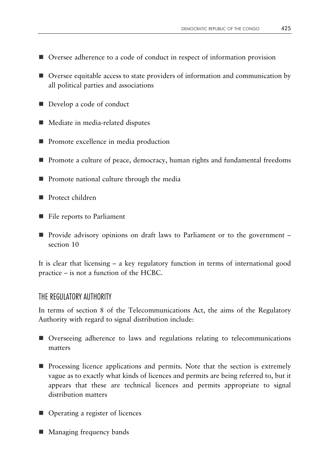- Oversee adherence to a code of conduct in respect of information provision
- Oversee equitable access to state providers of information and communication by all political parties and associations
- Develop a code of conduct
- Mediate in media-related disputes
- **Promote excellence in media production**
- **Promote a culture of peace, democracy, human rights and fundamental freedoms**
- **Promote national culture through the media**
- **Protect children**
- File reports to Parliament
- Provide advisory opinions on draft laws to Parliament or to the government section 10

It is clear that licensing – a key regulatory function in terms of international good practice – is not a function of the HCBC.

#### THE REGULATORY AUTHORITY

In terms of section 8 of the Telecommunications Act, the aims of the Regulatory Authority with regard to signal distribution include:

- Overseeing adherence to laws and regulations relating to telecommunications matters
- **Perocessing licence applications and permits.** Note that the section is extremely vague as to exactly what kinds of licences and permits are being referred to, but it appears that these are technical licences and permits appropriate to signal distribution matters
- Operating a register of licences
- Managing frequency bands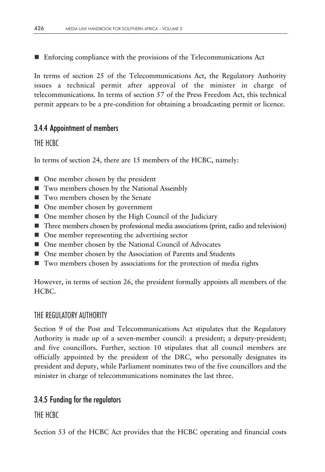Enforcing compliance with the provisions of the Telecommunications Act

In terms of section 25 of the Telecommunications Act, the Regulatory Authority issues a technical permit after approval of the minister in charge of telecommunications. In terms of section 57 of the Press Freedom Act, this technical permit appears to be a pre-condition for obtaining a broadcasting permit or licence.

#### 3.4.4 Appointment of members

#### THE HCBC

In terms of section 24, there are 15 members of the HCBC, namely:

- One member chosen by the president
- Two members chosen by the National Assembly
- Two members chosen by the Senate
- One member chosen by government
- One member chosen by the High Council of the Judiciary
- Three members chosen by professional media associations (print, radio and television)
- One member representing the advertising sector
- One member chosen by the National Council of Advocates
- One member chosen by the Association of Parents and Students
- Two members chosen by associations for the protection of media rights

However, in terms of section 26, the president formally appoints all members of the HCBC.

#### THE REGULATORY AUTHORITY

Section 9 of the Post and Telecommunications Act stipulates that the Regulatory Authority is made up of a seven-member council: a president; a deputy-president; and five councillors. Further, section 10 stipulates that all council members are officially appointed by the president of the DRC, who personally designates its president and deputy, while Parliament nominates two of the five councillors and the minister in charge of telecommunications nominates the last three.

#### 3.4.5 Funding for the regulators

THE HCBC

Section 53 of the HCBC Act provides that the HCBC operating and financial costs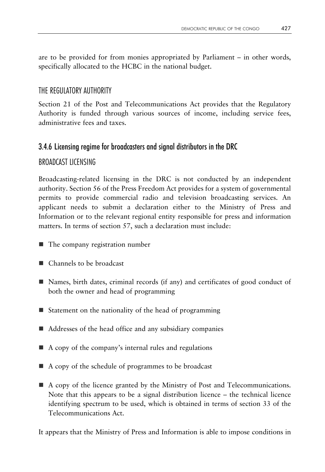are to be provided for from monies appropriated by Parliament – in other words, specifically allocated to the HCBC in the national budget.

#### THE REGULATORY AUTHORITY

Section 21 of the Post and Telecommunications Act provides that the Regulatory Authority is funded through various sources of income, including service fees, administrative fees and taxes.

## 3.4.6 Licensing regime for broadcasters and signal distributors in the DRC

## BROADCAST LICENSING

Broadcasting-related licensing in the DRC is not conducted by an independent authority. Section 56 of the Press Freedom Act provides for a system of governmental permits to provide commercial radio and television broadcasting services. An applicant needs to submit a declaration either to the Ministry of Press and Information or to the relevant regional entity responsible for press and information matters. In terms of section 57, such a declaration must include:

- The company registration number
- Channels to be broadcast
- Names, birth dates, criminal records (if any) and certificates of good conduct of both the owner and head of programming
- Statement on the nationality of the head of programming
- Addresses of the head office and any subsidiary companies
- $\blacksquare$  A copy of the company's internal rules and regulations
- A copy of the schedule of programmes to be broadcast
- A copy of the licence granted by the Ministry of Post and Telecommunications. Note that this appears to be a signal distribution licence – the technical licence identifying spectrum to be used, which is obtained in terms of section 33 of the Telecommunications Act.

It appears that the Ministry of Press and Information is able to impose conditions in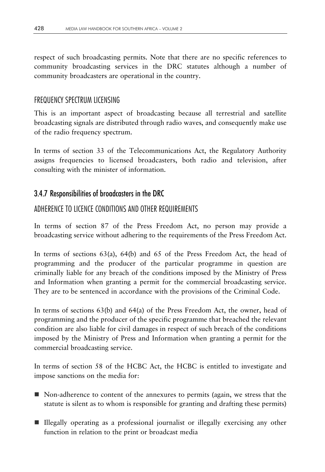respect of such broadcasting permits. Note that there are no specific references to community broadcasting services in the DRC statutes although a number of community broadcasters are operational in the country.

## FREQUENCY SPECTRUM LICENSING

This is an important aspect of broadcasting because all terrestrial and satellite broadcasting signals are distributed through radio waves, and consequently make use of the radio frequency spectrum.

In terms of section 33 of the Telecommunications Act, the Regulatory Authority assigns frequencies to licensed broadcasters, both radio and television, after consulting with the minister of information.

## 3.4.7 Responsibilities of broadcasters in the DRC

## ADHERENCE TO LICENCE CONDITIONS AND OTHER REQUIREMENTS

In terms of section 87 of the Press Freedom Act, no person may provide a broadcasting service without adhering to the requirements of the Press Freedom Act.

In terms of sections 63(a), 64(b) and 65 of the Press Freedom Act, the head of programming and the producer of the particular programme in question are criminally liable for any breach of the conditions imposed by the Ministry of Press and Information when granting a permit for the commercial broadcasting service. They are to be sentenced in accordance with the provisions of the Criminal Code.

In terms of sections 63(b) and 64(a) of the Press Freedom Act, the owner, head of programming and the producer of the specific programme that breached the relevant condition are also liable for civil damages in respect of such breach of the conditions imposed by the Ministry of Press and Information when granting a permit for the commercial broadcasting service.

In terms of section 58 of the HCBC Act, the HCBC is entitled to investigate and impose sanctions on the media for:

- Non-adherence to content of the annexures to permits (again, we stress that the statute is silent as to whom is responsible for granting and drafting these permits)
- Illegally operating as a professional journalist or illegally exercising any other function in relation to the print or broadcast media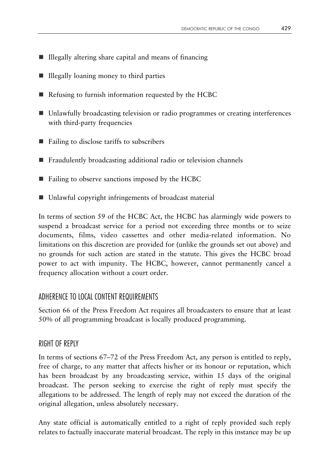- $\blacksquare$  Illegally altering share capital and means of financing
- $\blacksquare$  Illegally loaning money to third parties
- Refusing to furnish information requested by the HCBC
- Unlawfully broadcasting television or radio programmes or creating interferences with third-party frequencies
- Failing to disclose tariffs to subscribers
- Fraudulently broadcasting additional radio or television channels
- Failing to observe sanctions imposed by the HCBC
- Unlawful copyright infringements of broadcast material

In terms of section 59 of the HCBC Act, the HCBC has alarmingly wide powers to suspend a broadcast service for a period not exceeding three months or to seize documents, films, video cassettes and other media-related information. No limitations on this discretion are provided for (unlike the grounds set out above) and no grounds for such action are stated in the statute. This gives the HCBC broad power to act with impunity. The HCBC, however, cannot permanently cancel a frequency allocation without a court order.

#### ADHERENCE TO LOCAL CONTENT REQUIREMENTS

Section 66 of the Press Freedom Act requires all broadcasters to ensure that at least 50% of all programming broadcast is locally produced programming.

#### RIGHT OF REPLY

In terms of sections 67–72 of the Press Freedom Act, any person is entitled to reply, free of charge, to any matter that affects his/her or its honour or reputation, which has been broadcast by any broadcasting service, within 15 days of the original broadcast. The person seeking to exercise the right of reply must specify the allegations to be addressed. The length of reply may not exceed the duration of the original allegation, unless absolutely necessary.

Any state official is automatically entitled to a right of reply provided such reply relates to factually inaccurate material broadcast. The reply in this instance may be up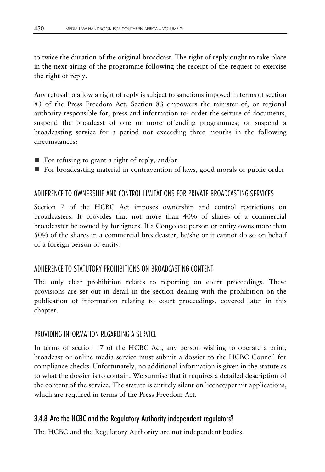to twice the duration of the original broadcast. The right of reply ought to take place in the next airing of the programme following the receipt of the request to exercise the right of reply.

Any refusal to allow a right of reply is subject to sanctions imposed in terms of section 83 of the Press Freedom Act. Section 83 empowers the minister of, or regional authority responsible for, press and information to: order the seizure of documents, suspend the broadcast of one or more offending programmes; or suspend a broadcasting service for a period not exceeding three months in the following circumstances:

- $\blacksquare$  For refusing to grant a right of reply, and/or
- For broadcasting material in contravention of laws, good morals or public order

## ADHERENCE TO OWNERSHIP AND CONTROL LIMITATIONS FOR PRIVATE BROADCASTING SERVICES

Section 7 of the HCBC Act imposes ownership and control restrictions on broadcasters. It provides that not more than 40% of shares of a commercial broadcaster be owned by foreigners. If a Congolese person or entity owns more than 50% of the shares in a commercial broadcaster, he/she or it cannot do so on behalf of a foreign person or entity.

## ADHERENCE TO STATUTORY PROHIBITIONS ON BROADCASTING CONTENT

The only clear prohibition relates to reporting on court proceedings. These provisions are set out in detail in the section dealing with the prohibition on the publication of information relating to court proceedings, covered later in this chapter.

#### PROVIDING INFORMATION REGARDING A SERVICE

In terms of section 17 of the HCBC Act, any person wishing to operate a print, broadcast or online media service must submit a dossier to the HCBC Council for compliance checks. Unfortunately, no additional information is given in the statute as to what the dossier is to contain. We surmise that it requires a detailed description of the content of the service. The statute is entirely silent on licence/permit applications, which are required in terms of the Press Freedom Act.

## 3.4.8 Are the HCBC and the Regulatory Authority independent regulators?

The HCBC and the Regulatory Authority are not independent bodies.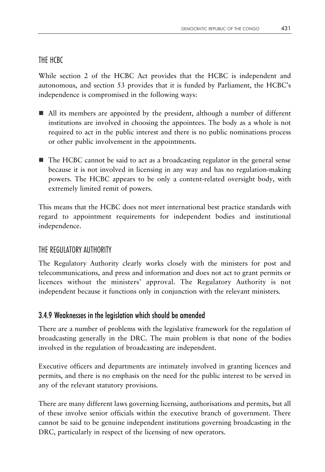#### THE HCBC

While section 2 of the HCBC Act provides that the HCBC is independent and autonomous, and section 53 provides that it is funded by Parliament, the HCBC's independence is compromised in the following ways:

- All its members are appointed by the president, although a number of different institutions are involved in choosing the appointees. The body as a whole is not required to act in the public interest and there is no public nominations process or other public involvement in the appointments.
- The HCBC cannot be said to act as a broadcasting regulator in the general sense because it is not involved in licensing in any way and has no regulation-making powers. The HCBC appears to be only a content-related oversight body, with extremely limited remit of powers.

This means that the HCBC does not meet international best practice standards with regard to appointment requirements for independent bodies and institutional independence.

#### THE REGULATORY AUTHORITY

The Regulatory Authority clearly works closely with the ministers for post and telecommunications, and press and information and does not act to grant permits or licences without the ministers' approval. The Regulatory Authority is not independent because it functions only in conjunction with the relevant ministers.

#### 3.4.9 Weaknesses in the legislation which should be amended

There are a number of problems with the legislative framework for the regulation of broadcasting generally in the DRC. The main problem is that none of the bodies involved in the regulation of broadcasting are independent.

Executive officers and departments are intimately involved in granting licences and permits, and there is no emphasis on the need for the public interest to be served in any of the relevant statutory provisions.

There are many different laws governing licensing, authorisations and permits, but all of these involve senior officials within the executive branch of government. There cannot be said to be genuine independent institutions governing broadcasting in the DRC, particularly in respect of the licensing of new operators.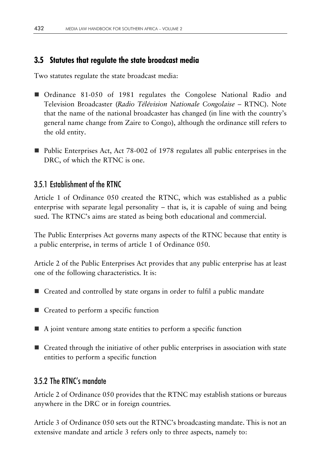## **3.5 Statutes that regulate the state broadcast media**

Two statutes regulate the state broadcast media:

- Ordinance 81-050 of 1981 regulates the Congolese National Radio and Television Broadcaster (*Radio Télévision Nationale Congolaise* – RTNC). Note that the name of the national broadcaster has changed (in line with the country's general name change from Zaire to Congo), although the ordinance still refers to the old entity.
- Public Enterprises Act, Act 78-002 of 1978 regulates all public enterprises in the DRC, of which the RTNC is one.

## 3.5.1 Establishment of the RTNC

Article 1 of Ordinance 050 created the RTNC, which was established as a public enterprise with separate legal personality – that is, it is capable of suing and being sued. The RTNC's aims are stated as being both educational and commercial.

The Public Enterprises Act governs many aspects of the RTNC because that entity is a public enterprise, in terms of article 1 of Ordinance 050.

Article 2 of the Public Enterprises Act provides that any public enterprise has at least one of the following characteristics. It is:

- **E** Created and controlled by state organs in order to fulfil a public mandate
- Created to perform a specific function
- A joint venture among state entities to perform a specific function
- Created through the initiative of other public enterprises in association with state entities to perform a specific function

## 3.5.2 The RTNC's mandate

Article 2 of Ordinance 050 provides that the RTNC may establish stations or bureaus anywhere in the DRC or in foreign countries.

Article 3 of Ordinance 050 sets out the RTNC's broadcasting mandate. This is not an extensive mandate and article 3 refers only to three aspects, namely to: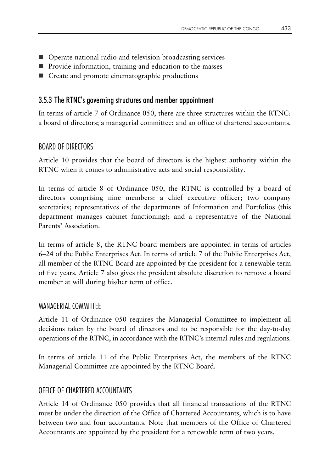- Operate national radio and television broadcasting services
- **Provide information, training and education to the masses**
- Create and promote cinematographic productions

#### 3.5.3 The RTNC's governing structures and member appointment

In terms of article 7 of Ordinance 050, there are three structures within the RTNC: a board of directors; a managerial committee; and an office of chartered accountants.

#### BOARD OF DIRECTORS

Article 10 provides that the board of directors is the highest authority within the RTNC when it comes to administrative acts and social responsibility.

In terms of article 8 of Ordinance 050, the RTNC is controlled by a board of directors comprising nine members: a chief executive officer; two company secretaries; representatives of the departments of Information and Portfolios (this department manages cabinet functioning); and a representative of the National Parents' Association.

In terms of article 8, the RTNC board members are appointed in terms of articles 6–24 of the Public Enterprises Act. In terms of article 7 of the Public Enterprises Act, all member of the RTNC Board are appointed by the president for a renewable term of five years. Article 7 also gives the president absolute discretion to remove a board member at will during his/her term of office.

#### MANAGERIAL COMMITTEE

Article 11 of Ordinance 050 requires the Managerial Committee to implement all decisions taken by the board of directors and to be responsible for the day-to-day operations of the RTNC, in accordance with the RTNC's internal rules and regulations.

In terms of article 11 of the Public Enterprises Act, the members of the RTNC Managerial Committee are appointed by the RTNC Board.

#### OFFICE OF CHARTERED ACCOUNTANTS

Article 14 of Ordinance 050 provides that all financial transactions of the RTNC must be under the direction of the Office of Chartered Accountants, which is to have between two and four accountants. Note that members of the Office of Chartered Accountants are appointed by the president for a renewable term of two years.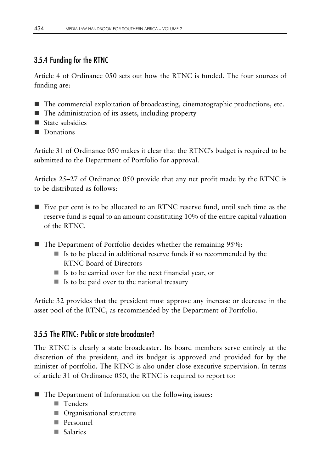## 3.5.4 Funding for the RTNC

Article 4 of Ordinance 050 sets out how the RTNC is funded. The four sources of funding are:

- The commercial exploitation of broadcasting, cinematographic productions, etc.
- $\blacksquare$  The administration of its assets, including property
- State subsidies
- Donations

Article 31 of Ordinance 050 makes it clear that the RTNC's budget is required to be submitted to the Department of Portfolio for approval.

Articles 25–27 of Ordinance 050 provide that any net profit made by the RTNC is to be distributed as follows:

- Five per cent is to be allocated to an RTNC reserve fund, until such time as the reserve fund is equal to an amount constituting 10% of the entire capital valuation of the RTNC.
- The Department of Portfolio decides whether the remaining 95%:
	- $\blacksquare$  Is to be placed in additional reserve funds if so recommended by the RTNC Board of Directors
	- Is to be carried over for the next financial year, or
	- $\blacksquare$  Is to be paid over to the national treasury

Article 32 provides that the president must approve any increase or decrease in the asset pool of the RTNC, as recommended by the Department of Portfolio.

#### 3.5.5 The RTNC: Public or state broadcaster?

The RTNC is clearly a state broadcaster. Its board members serve entirely at the discretion of the president, and its budget is approved and provided for by the minister of portfolio. The RTNC is also under close executive supervision. In terms of article 31 of Ordinance 050, the RTNC is required to report to:

- The Department of Information on the following issues:
	- Tenders
	- **Organisational structure**
	- **Personnel**
	- Salaries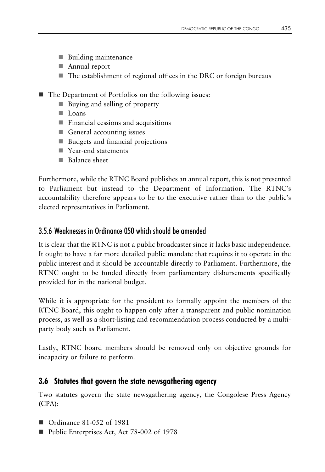- **Building maintenance**
- **Annual report**
- The establishment of regional offices in the DRC or foreign bureaus
- The Department of Portfolios on the following issues:
	- Buying and selling of property
	- **Loans**
	- **Financial cessions and acquisitions**
	- General accounting issues
	- Budgets and financial projections
	- Year-end statements
	- **Balance sheet**

Furthermore, while the RTNC Board publishes an annual report, this is not presented to Parliament but instead to the Department of Information. The RTNC's accountability therefore appears to be to the executive rather than to the public's elected representatives in Parliament.

#### 3.5.6 Weaknesses in Ordinance 050 which should be amended

It is clear that the RTNC is not a public broadcaster since it lacks basic independence. It ought to have a far more detailed public mandate that requires it to operate in the public interest and it should be accountable directly to Parliament. Furthermore, the RTNC ought to be funded directly from parliamentary disbursements specifically provided for in the national budget.

While it is appropriate for the president to formally appoint the members of the RTNC Board, this ought to happen only after a transparent and public nomination process, as well as a short-listing and recommendation process conducted by a multiparty body such as Parliament.

Lastly, RTNC board members should be removed only on objective grounds for incapacity or failure to perform.

#### **3.6 Statutes that govern the state newsgathering agency**

Two statutes govern the state newsgathering agency, the Congolese Press Agency (CPA):

- Ordinance 81-052 of 1981
- Public Enterprises Act, Act 78-002 of 1978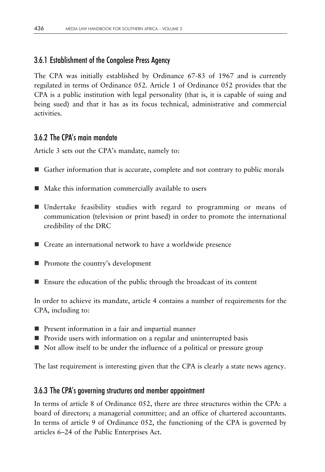#### 3.6.1 Establishment of the Congolese Press Agency

The CPA was initially established by Ordinance 67-83 of 1967 and is currently regulated in terms of Ordinance 052. Article 1 of Ordinance 052 provides that the CPA is a public institution with legal personality (that is, it is capable of suing and being sued) and that it has as its focus technical, administrative and commercial activities.

#### 3.6.2 The CPA's main mandate

Article 3 sets out the CPA's mandate, namely to:

- Gather information that is accurate, complete and not contrary to public morals
- $\blacksquare$  Make this information commercially available to users
- Undertake feasibility studies with regard to programming or means of communication (television or print based) in order to promote the international credibility of the DRC
- Create an international network to have a worldwide presence
- **Promote the country's development**
- Ensure the education of the public through the broadcast of its content

In order to achieve its mandate, article 4 contains a number of requirements for the CPA, including to:

- **Present information in a fair and impartial manner**
- **P** Provide users with information on a regular and uninterrupted basis
- Not allow itself to be under the influence of a political or pressure group

The last requirement is interesting given that the CPA is clearly a state news agency.

#### 3.6.3 The CPA's governing structures and member appointment

In terms of article 8 of Ordinance 052, there are three structures within the CPA: a board of directors; a managerial committee; and an office of chartered accountants. In terms of article 9 of Ordinance 052, the functioning of the CPA is governed by articles 6–24 of the Public Enterprises Act.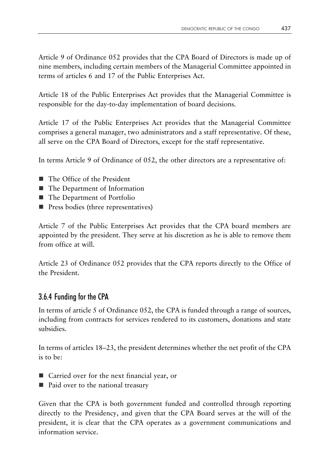Article 9 of Ordinance 052 provides that the CPA Board of Directors is made up of nine members, including certain members of the Managerial Committee appointed in terms of articles 6 and 17 of the Public Enterprises Act.

Article 18 of the Public Enterprises Act provides that the Managerial Committee is responsible for the day-to-day implementation of board decisions.

Article 17 of the Public Enterprises Act provides that the Managerial Committee comprises a general manager, two administrators and a staff representative. Of these, all serve on the CPA Board of Directors, except for the staff representative.

In terms Article 9 of Ordinance of 052, the other directors are a representative of:

- The Office of the President
- The Department of Information
- The Department of Portfolio
- **Press bodies (three representatives)**

Article 7 of the Public Enterprises Act provides that the CPA board members are appointed by the president. They serve at his discretion as he is able to remove them from office at will.

Article 23 of Ordinance 052 provides that the CPA reports directly to the Office of the President.

## 3.6.4 Funding for the CPA

In terms of article 5 of Ordinance 052, the CPA is funded through a range of sources, including from contracts for services rendered to its customers, donations and state subsidies.

In terms of articles 18–23, the president determines whether the net profit of the CPA is to be:

- Carried over for the next financial year, or
- Paid over to the national treasury

Given that the CPA is both government funded and controlled through reporting directly to the Presidency, and given that the CPA Board serves at the will of the president, it is clear that the CPA operates as a government communications and information service.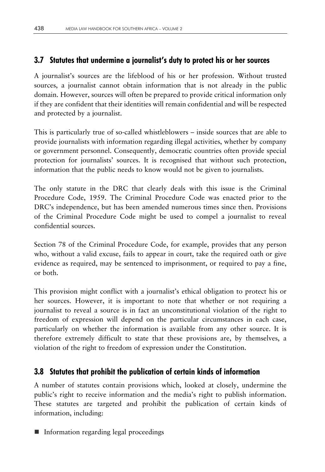## **3.7 Statutes that undermine a journalist's duty to protect his or her sources**

A journalist's sources are the lifeblood of his or her profession. Without trusted sources, a journalist cannot obtain information that is not already in the public domain. However, sources will often be prepared to provide critical information only if they are confident that their identities will remain confidential and will be respected and protected by a journalist.

This is particularly true of so-called whistleblowers – inside sources that are able to provide journalists with information regarding illegal activities, whether by company or government personnel. Consequently, democratic countries often provide special protection for journalists' sources. It is recognised that without such protection, information that the public needs to know would not be given to journalists.

The only statute in the DRC that clearly deals with this issue is the Criminal Procedure Code, 1959. The Criminal Procedure Code was enacted prior to the DRC's independence, but has been amended numerous times since then. Provisions of the Criminal Procedure Code might be used to compel a journalist to reveal confidential sources.

Section 78 of the Criminal Procedure Code, for example, provides that any person who, without a valid excuse, fails to appear in court, take the required oath or give evidence as required, may be sentenced to imprisonment, or required to pay a fine, or both.

This provision might conflict with a journalist's ethical obligation to protect his or her sources. However, it is important to note that whether or not requiring a journalist to reveal a source is in fact an unconstitutional violation of the right to freedom of expression will depend on the particular circumstances in each case, particularly on whether the information is available from any other source. It is therefore extremely difficult to state that these provisions are, by themselves, a violation of the right to freedom of expression under the Constitution.

## **3.8 Statutes that prohibit the publication of certain kinds of information**

A number of statutes contain provisions which, looked at closely, undermine the public's right to receive information and the media's right to publish information. These statutes are targeted and prohibit the publication of certain kinds of information, including:

■ Information regarding legal proceedings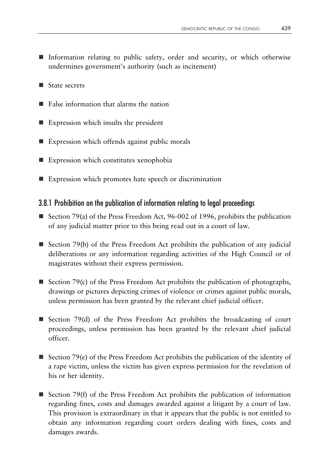- Information relating to public safety, order and security, or which otherwise undermines government's authority (such as incitement)
- State secrets
- $\blacksquare$  False information that alarms the nation
- $\blacksquare$  Expression which insults the president
- Expression which offends against public morals
- Expression which constitutes xenophobia
- Expression which promotes hate speech or discrimination

#### 3.8.1 Prohibition on the publication of information relating to legal proceedings

- Section 79(a) of the Press Freedom Act, 96-002 of 1996, prohibits the publication of any judicial matter prior to this being read out in a court of law.
- Section 79(b) of the Press Freedom Act prohibits the publication of any judicial deliberations or any information regarding activities of the High Council or of magistrates without their express permission.
- Section 79(c) of the Press Freedom Act prohibits the publication of photographs, drawings or pictures depicting crimes of violence or crimes against public morals, unless permission has been granted by the relevant chief judicial officer.
- Section 79(d) of the Press Freedom Act prohibits the broadcasting of court proceedings, unless permission has been granted by the relevant chief judicial officer.
- Section 79(e) of the Press Freedom Act prohibits the publication of the identity of a rape victim, unless the victim has given express permission for the revelation of his or her identity.
- Section 79(f) of the Press Freedom Act prohibits the publication of information regarding fines, costs and damages awarded against a litigant by a court of law. This provision is extraordinary in that it appears that the public is not entitled to obtain any information regarding court orders dealing with fines, costs and damages awards.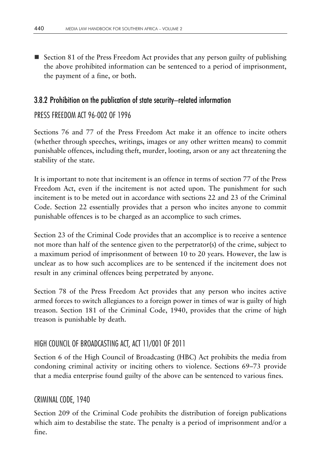Section 81 of the Press Freedom Act provides that any person guilty of publishing the above prohibited information can be sentenced to a period of imprisonment, the payment of a fine, or both.

#### 3.8.2 Prohibition on the publication of state security–related information

#### PRESS FREEDOM ACT 96-002 OF 1996

Sections 76 and 77 of the Press Freedom Act make it an offence to incite others (whether through speeches, writings, images or any other written means) to commit punishable offences, including theft, murder, looting, arson or any act threatening the stability of the state.

It is important to note that incitement is an offence in terms of section 77 of the Press Freedom Act, even if the incitement is not acted upon. The punishment for such incitement is to be meted out in accordance with sections 22 and 23 of the Criminal Code. Section 22 essentially provides that a person who incites anyone to commit punishable offences is to be charged as an accomplice to such crimes.

Section 23 of the Criminal Code provides that an accomplice is to receive a sentence not more than half of the sentence given to the perpetrator(s) of the crime, subject to a maximum period of imprisonment of between 10 to 20 years. However, the law is unclear as to how such accomplices are to be sentenced if the incitement does not result in any criminal offences being perpetrated by anyone.

Section 78 of the Press Freedom Act provides that any person who incites active armed forces to switch allegiances to a foreign power in times of war is guilty of high treason. Section 181 of the Criminal Code, 1940, provides that the crime of high treason is punishable by death.

#### HIGH COUNCIL OF BROADCASTING ACT, ACT 11/001 OF 2011

Section 6 of the High Council of Broadcasting (HBC) Act prohibits the media from condoning criminal activity or inciting others to violence. Sections 69–73 provide that a media enterprise found guilty of the above can be sentenced to various fines.

#### CRIMINAL CODE, 1940

Section 209 of the Criminal Code prohibits the distribution of foreign publications which aim to destabilise the state. The penalty is a period of imprisonment and/or a fine.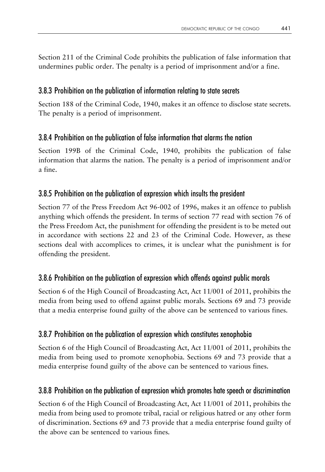Section 211 of the Criminal Code prohibits the publication of false information that undermines public order. The penalty is a period of imprisonment and/or a fine.

# 3.8.3 Prohibition on the publication of information relating to state secrets

Section 188 of the Criminal Code, 1940, makes it an offence to disclose state secrets. The penalty is a period of imprisonment.

# 3.8.4 Prohibition on the publication of false information that alarms the nation

Section 199B of the Criminal Code, 1940, prohibits the publication of false information that alarms the nation. The penalty is a period of imprisonment and/or a fine.

# 3.8.5 Prohibition on the publication of expression which insults the president

Section 77 of the Press Freedom Act 96-002 of 1996, makes it an offence to publish anything which offends the president. In terms of section 77 read with section 76 of the Press Freedom Act, the punishment for offending the president is to be meted out in accordance with sections 22 and 23 of the Criminal Code. However, as these sections deal with accomplices to crimes, it is unclear what the punishment is for offending the president.

# 3.8.6 Prohibition on the publication of expression which offends against public morals

Section 6 of the High Council of Broadcasting Act, Act 11/001 of 2011, prohibits the media from being used to offend against public morals. Sections 69 and 73 provide that a media enterprise found guilty of the above can be sentenced to various fines.

# 3.8.7 Prohibition on the publication of expression which constitutes xenophobia

Section 6 of the High Council of Broadcasting Act, Act 11/001 of 2011, prohibits the media from being used to promote xenophobia. Sections 69 and 73 provide that a media enterprise found guilty of the above can be sentenced to various fines.

# 3.8.8 Prohibition on the publication of expression which promotes hate speech or discrimination

Section 6 of the High Council of Broadcasting Act, Act 11/001 of 2011, prohibits the media from being used to promote tribal, racial or religious hatred or any other form of discrimination. Sections 69 and 73 provide that a media enterprise found guilty of the above can be sentenced to various fines.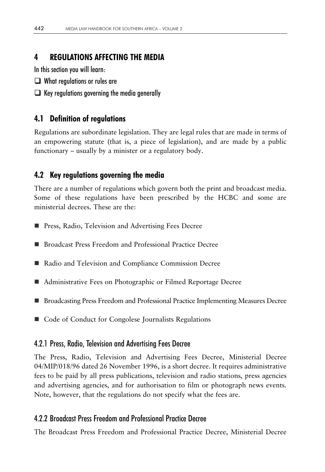# **4 REGULATIONS AFFECTING THE MEDIA**

In this section you will learn:

- $\Box$  What regulations or rules are
- $\Box$  Key regulations governing the media generally

## **4.1 Definition of regulations**

Regulations are subordinate legislation. They are legal rules that are made in terms of an empowering statute (that is, a piece of legislation), and are made by a public functionary – usually by a minister or a regulatory body.

## **4.2 Key regulations governing the media**

There are a number of regulations which govern both the print and broadcast media. Some of these regulations have been prescribed by the HCBC and some are ministerial decrees. These are the:

- **Press, Radio, Television and Advertising Fees Decree**
- Broadcast Press Freedom and Professional Practice Decree
- Radio and Television and Compliance Commission Decree
- Administrative Fees on Photographic or Filmed Reportage Decree
- **Broadcasting Press Freedom and Professional Practice Implementing Measures Decree**
- Code of Conduct for Congolese Journalists Regulations

#### 4.2.1 Press, Radio, Television and Advertising Fees Decree

The Press, Radio, Television and Advertising Fees Decree, Ministerial Decree 04/MIP/018/96 dated 26 November 1996, is a short decree. It requires administrative fees to be paid by all press publications, television and radio stations, press agencies and advertising agencies, and for authorisation to film or photograph news events. Note, however, that the regulations do not specify what the fees are.

## 4.2.2 Broadcast Press Freedom and Professional Practice Decree

The Broadcast Press Freedom and Professional Practice Decree, Ministerial Decree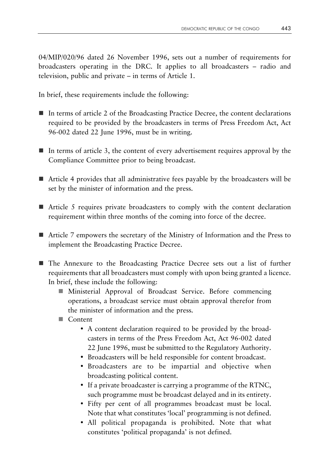04/MIP/020/96 dated 26 November 1996, sets out a number of requirements for broadcasters operating in the DRC. It applies to all broadcasters – radio and television, public and private – in terms of Article 1.

In brief, these requirements include the following:

- $\blacksquare$  In terms of article 2 of the Broadcasting Practice Decree, the content declarations required to be provided by the broadcasters in terms of Press Freedom Act, Act 96-002 dated 22 June 1996, must be in writing.
- $\blacksquare$  In terms of article 3, the content of every advertisement requires approval by the Compliance Committee prior to being broadcast.
- $\blacksquare$  Article 4 provides that all administrative fees payable by the broadcasters will be set by the minister of information and the press.
- $\blacksquare$  Article 5 requires private broadcasters to comply with the content declaration requirement within three months of the coming into force of the decree.
- Article 7 empowers the secretary of the Ministry of Information and the Press to implement the Broadcasting Practice Decree.
- The Annexure to the Broadcasting Practice Decree sets out a list of further requirements that all broadcasters must comply with upon being granted a licence. In brief, these include the following:
	- Ministerial Approval of Broadcast Service. Before commencing operations, a broadcast service must obtain approval therefor from the minister of information and the press.
	- Content
		- A content declaration required to be provided by the broadcasters in terms of the Press Freedom Act, Act 96-002 dated 22 June 1996, must be submitted to the Regulatory Authority.
		- Broadcasters will be held responsible for content broadcast.
		- Broadcasters are to be impartial and objective when broadcasting political content.
		- If a private broadcaster is carrying a programme of the RTNC, such programme must be broadcast delayed and in its entirety.
		- Fifty per cent of all programmes broadcast must be local. Note that what constitutes 'local' programming is not defined.
		- All political propaganda is prohibited. Note that what constitutes 'political propaganda' is not defined.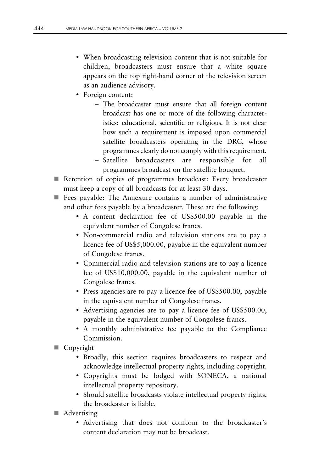- When broadcasting television content that is not suitable for children, broadcasters must ensure that a white square appears on the top right-hand corner of the television screen as an audience advisory.
- Foreign content:
	- The broadcaster must ensure that all foreign content broadcast has one or more of the following characteristics: educational, scientific or religious. It is not clear how such a requirement is imposed upon commercial satellite broadcasters operating in the DRC, whose programmes clearly do not comply with this requirement.
	- Satellite broadcasters are responsible for all programmes broadcast on the satellite bouquet.
- Retention of copies of programmes broadcast: Every broadcaster must keep a copy of all broadcasts for at least 30 days.
- Fees payable: The Annexure contains a number of administrative and other fees payable by a broadcaster. These are the following:
	- A content declaration fee of US\$500.00 payable in the equivalent number of Congolese francs.
	- Non-commercial radio and television stations are to pay a licence fee of US\$5,000.00, payable in the equivalent number of Congolese francs.
	- Commercial radio and television stations are to pay a licence fee of US\$10,000.00, payable in the equivalent number of Congolese francs.
	- Press agencies are to pay a licence fee of US\$500.00, payable in the equivalent number of Congolese francs.
	- Advertising agencies are to pay a licence fee of US\$500.00, payable in the equivalent number of Congolese francs.
	- A monthly administrative fee payable to the Compliance Commission.
- Copyright
	- Broadly, this section requires broadcasters to respect and acknowledge intellectual property rights, including copyright.
	- Copyrights must be lodged with SONECA, a national intellectual property repository.
	- Should satellite broadcasts violate intellectual property rights, the broadcaster is liable.
- **A**dvertising
	- Advertising that does not conform to the broadcaster's content declaration may not be broadcast.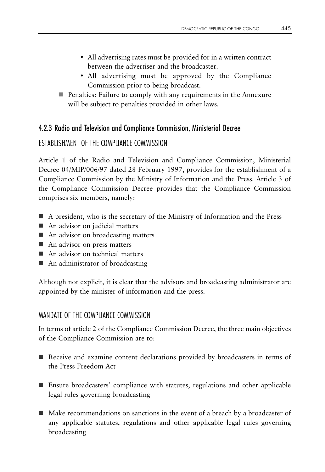- All advertising rates must be provided for in a written contract between the advertiser and the broadcaster.
- All advertising must be approved by the Compliance Commission prior to being broadcast.
- **Penalties: Failure to comply with any requirements in the Annexure** will be subject to penalties provided in other laws.

## 4.2.3 Radio and Television and Compliance Commission, Ministerial Decree

## ESTABLISHMENT OF THE COMPLIANCE COMMISSION

Article 1 of the Radio and Television and Compliance Commission, Ministerial Decree 04/MIP/006/97 dated 28 February 1997, provides for the establishment of a Compliance Commission by the Ministry of Information and the Press. Article 3 of the Compliance Commission Decree provides that the Compliance Commission comprises six members, namely:

- A president, who is the secretary of the Ministry of Information and the Press
- An advisor on judicial matters
- An advisor on broadcasting matters
- An advisor on press matters
- An advisor on technical matters
- An administrator of broadcasting

Although not explicit, it is clear that the advisors and broadcasting administrator are appointed by the minister of information and the press.

#### MANDATE OF THE COMPLIANCE COMMISSION

In terms of article 2 of the Compliance Commission Decree, the three main objectives of the Compliance Commission are to:

- Receive and examine content declarations provided by broadcasters in terms of the Press Freedom Act
- Ensure broadcasters' compliance with statutes, regulations and other applicable legal rules governing broadcasting
- Make recommendations on sanctions in the event of a breach by a broadcaster of any applicable statutes, regulations and other applicable legal rules governing broadcasting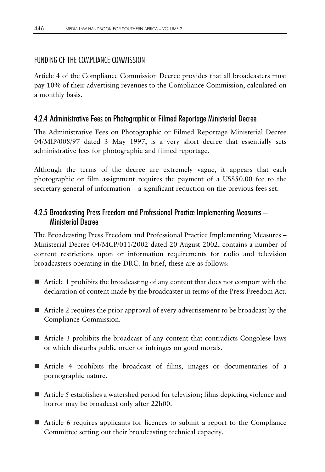## FUNDING OF THE COMPLIANCE COMMISSION

Article 4 of the Compliance Commission Decree provides that all broadcasters must pay 10% of their advertising revenues to the Compliance Commission, calculated on a monthly basis.

## 4.2.4 Administrative Fees on Photographic or Filmed Reportage Ministerial Decree

The Administrative Fees on Photographic or Filmed Reportage Ministerial Decree 04/MIP/008/97 dated 3 May 1997, is a very short decree that essentially sets administrative fees for photographic and filmed reportage.

Although the terms of the decree are extremely vague, it appears that each photographic or film assignment requires the payment of a US\$50.00 fee to the secretary-general of information – a significant reduction on the previous fees set.

## 4.2.5 Broadcasting Press Freedom and Professional Practice Implementing Measures – Ministerial Decree

The Broadcasting Press Freedom and Professional Practice Implementing Measures – Ministerial Decree 04/MCP/011/2002 dated 20 August 2002, contains a number of content restrictions upon or information requirements for radio and television broadcasters operating in the DRC. In brief, these are as follows:

- Article 1 prohibits the broadcasting of any content that does not comport with the declaration of content made by the broadcaster in terms of the Press Freedom Act.
- Article 2 requires the prior approval of every advertisement to be broadcast by the Compliance Commission.
- Article 3 prohibits the broadcast of any content that contradicts Congolese laws or which disturbs public order or infringes on good morals.
- Article 4 prohibits the broadcast of films, images or documentaries of a pornographic nature.
- $\blacksquare$  Article 5 establishes a watershed period for television; films depicting violence and horror may be broadcast only after 22h00.
- Article 6 requires applicants for licences to submit a report to the Compliance Committee setting out their broadcasting technical capacity.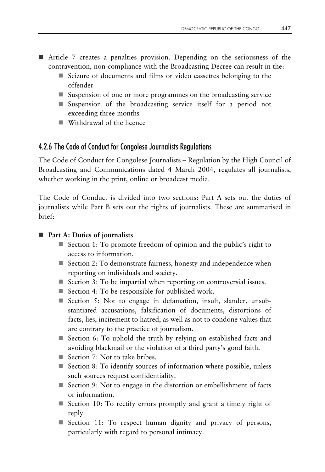- Article 7 creates a penalties provision. Depending on the seriousness of the contravention, non-compliance with the Broadcasting Decree can result in the:
	- Seizure of documents and films or video cassettes belonging to the offender
	- Suspension of one or more programmes on the broadcasting service
	- Suspension of the broadcasting service itself for a period not exceeding three months
	- Withdrawal of the licence

#### 4.2.6 The Code of Conduct for Congolese Journalists Regulations

The Code of Conduct for Congolese Journalists – Regulation by the High Council of Broadcasting and Communications dated 4 March 2004, regulates all journalists, whether working in the print, online or broadcast media.

The Code of Conduct is divided into two sections: Part A sets out the duties of journalists while Part B sets out the rights of journalists. These are summarised in brief:

#### ■ Part A: Duties of journalists

- Section 1: To promote freedom of opinion and the public's right to access to information.
- Section 2: To demonstrate fairness, honesty and independence when reporting on individuals and society.
- Section 3: To be impartial when reporting on controversial issues.
- $\blacksquare$  Section 4: To be responsible for published work.
- Section 5: Not to engage in defamation, insult, slander, unsubstantiated accusations, falsification of documents, distortions of facts, lies, incitement to hatred, as well as not to condone values that are contrary to the practice of journalism.
- Section 6: To uphold the truth by relying on established facts and avoiding blackmail or the violation of a third party's good faith.
- Section 7: Not to take bribes.
- Section 8: To identify sources of information where possible, unless such sources request confidentiality.
- Section 9: Not to engage in the distortion or embellishment of facts or information.
- Section 10: To rectify errors promptly and grant a timely right of reply.
- Section 11: To respect human dignity and privacy of persons, particularly with regard to personal intimacy.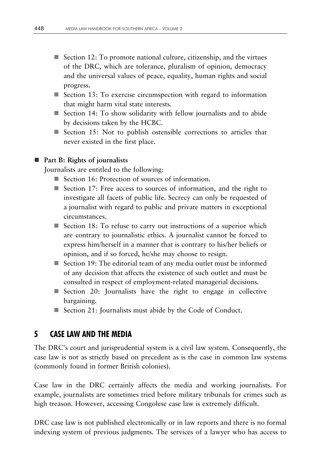- Section 12: To promote national culture, citizenship, and the virtues of the DRC, which are tolerance, pluralism of opinion, democracy and the universal values of peace, equality, human rights and social progress.
- Section 13: To exercise circumspection with regard to information that might harm vital state interests.
- Section 14: To show solidarity with fellow journalists and to abide by decisions taken by the HCBC.
- Section 15: Not to publish ostensible corrections to articles that never existed in the first place.

#### **Part B: Rights of journalists**

Journalists are entitled to the following:

- Section 16: Protection of sources of information.
- Section 17: Free access to sources of information, and the right to investigate all facets of public life. Secrecy can only be requested of a journalist with regard to public and private matters in exceptional circumstances.
- Section 18: To refuse to carry out instructions of a superior which are contrary to journalistic ethics. A journalist cannot be forced to express him/herself in a manner that is contrary to his/her beliefs or opinion, and if so forced, he/she may choose to resign.
- Section 19: The editorial team of any media outlet must be informed of any decision that affects the existence of such outlet and must be consulted in respect of employment-related managerial decisions.
- Section 20: Journalists have the right to engage in collective bargaining.
- Section 21: Journalists must abide by the Code of Conduct.

# **5 CASE LAW AND THE MEDIA**

The DRC's court and jurisprudential system is a civil law system. Consequently, the case law is not as strictly based on precedent as is the case in common law systems (commonly found in former British colonies).

Case law in the DRC certainly affects the media and working journalists. For example, journalists are sometimes tried before military tribunals for crimes such as high treason. However, accessing Congolese case law is extremely difficult.

DRC case law is not published electronically or in law reports and there is no formal indexing system of previous judgments. The services of a lawyer who has access to